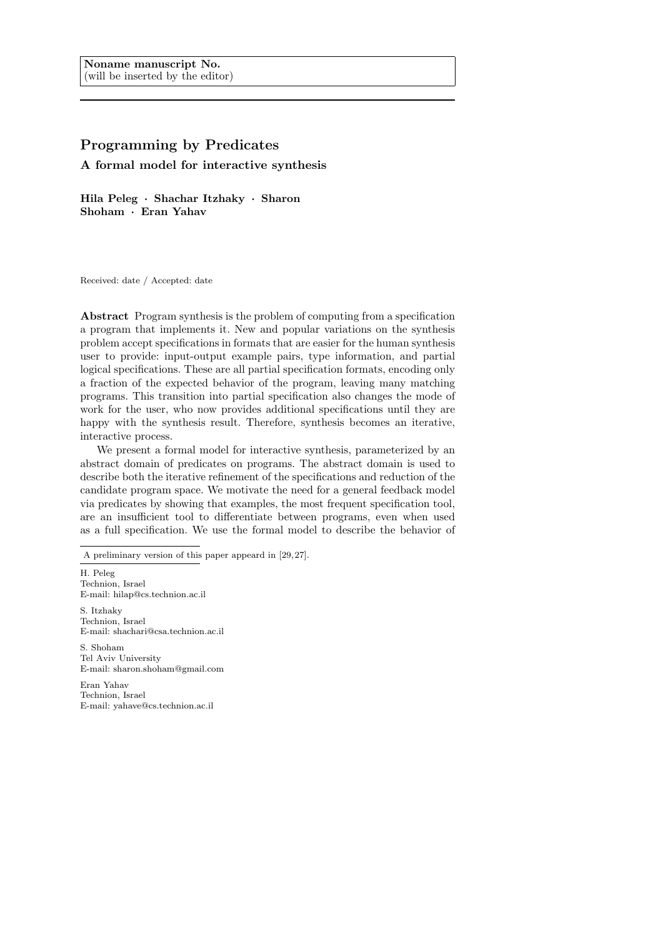# Programming by Predicates A formal model for interactive synthesis

Hila Peleg · Shachar Itzhaky · Sharon Shoham · Eran Yahav

Received: date / Accepted: date

Abstract Program synthesis is the problem of computing from a specification a program that implements it. New and popular variations on the synthesis problem accept specifications in formats that are easier for the human synthesis user to provide: input-output example pairs, type information, and partial logical specifications. These are all partial specification formats, encoding only a fraction of the expected behavior of the program, leaving many matching programs. This transition into partial specification also changes the mode of work for the user, who now provides additional specifications until they are happy with the synthesis result. Therefore, synthesis becomes an iterative, interactive process.

We present a formal model for interactive synthesis, parameterized by an abstract domain of predicates on programs. The abstract domain is used to describe both the iterative refinement of the specifications and reduction of the candidate program space. We motivate the need for a general feedback model via predicates by showing that examples, the most frequent specification tool, are an insufficient tool to differentiate between programs, even when used as a full specification. We use the formal model to describe the behavior of

A preliminary version of this paper appeard in [29,27].

H. Peleg Technion, Israel E-mail: hilap@cs.technion.ac.il S. Itzhaky Technion, Israel E-mail: shachari@csa.technion.ac.il

S. Shoham Tel Aviv University E-mail: sharon.shoham@gmail.com

Eran Yahav Technion, Israel E-mail: yahave@cs.technion.ac.il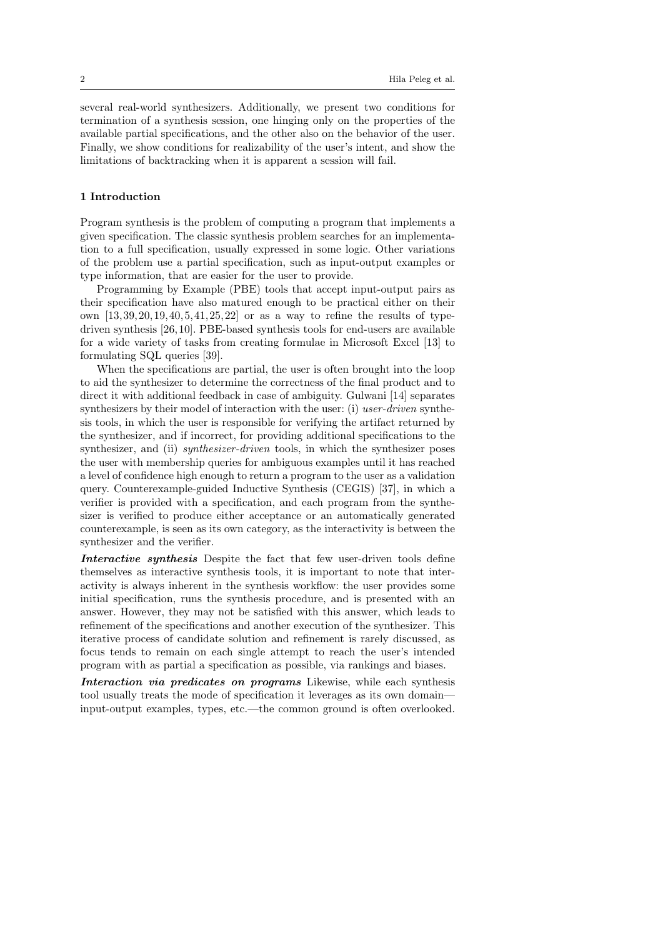several real-world synthesizers. Additionally, we present two conditions for termination of a synthesis session, one hinging only on the properties of the available partial specifications, and the other also on the behavior of the user. Finally, we show conditions for realizability of the user's intent, and show the limitations of backtracking when it is apparent a session will fail.

# 1 Introduction

Program synthesis is the problem of computing a program that implements a given specification. The classic synthesis problem searches for an implementation to a full specification, usually expressed in some logic. Other variations of the problem use a partial specification, such as input-output examples or type information, that are easier for the user to provide.

Programming by Example (PBE) tools that accept input-output pairs as their specification have also matured enough to be practical either on their own  $[13, 39, 20, 19, 40, 5, 41, 25, 22]$  or as a way to refine the results of typedriven synthesis [26, 10]. PBE-based synthesis tools for end-users are available for a wide variety of tasks from creating formulae in Microsoft Excel [13] to formulating SQL queries [39].

When the specifications are partial, the user is often brought into the loop to aid the synthesizer to determine the correctness of the final product and to direct it with additional feedback in case of ambiguity. Gulwani [14] separates synthesizers by their model of interaction with the user: (i) user-driven synthesis tools, in which the user is responsible for verifying the artifact returned by the synthesizer, and if incorrect, for providing additional specifications to the synthesizer, and (ii) *synthesizer-driven* tools, in which the synthesizer poses the user with membership queries for ambiguous examples until it has reached a level of confidence high enough to return a program to the user as a validation query. Counterexample-guided Inductive Synthesis (CEGIS) [37], in which a verifier is provided with a specification, and each program from the synthesizer is verified to produce either acceptance or an automatically generated counterexample, is seen as its own category, as the interactivity is between the synthesizer and the verifier.

Interactive synthesis Despite the fact that few user-driven tools define themselves as interactive synthesis tools, it is important to note that interactivity is always inherent in the synthesis workflow: the user provides some initial specification, runs the synthesis procedure, and is presented with an answer. However, they may not be satisfied with this answer, which leads to refinement of the specifications and another execution of the synthesizer. This iterative process of candidate solution and refinement is rarely discussed, as focus tends to remain on each single attempt to reach the user's intended program with as partial a specification as possible, via rankings and biases.

Interaction via predicates on programs Likewise, while each synthesis tool usually treats the mode of specification it leverages as its own domain input-output examples, types, etc.—the common ground is often overlooked.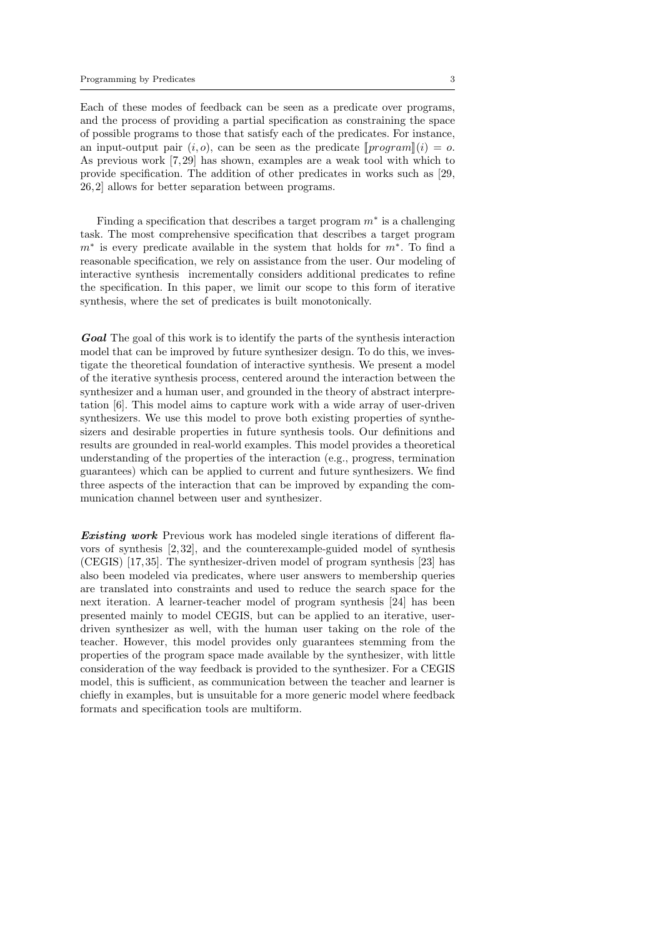Each of these modes of feedback can be seen as a predicate over programs, and the process of providing a partial specification as constraining the space of possible programs to those that satisfy each of the predicates. For instance, an input-output pair  $(i, o)$ , can be seen as the predicate  $\lceil program \rceil(i) = o$ . As previous work [7, 29] has shown, examples are a weak tool with which to provide specification. The addition of other predicates in works such as [29, 26, 2] allows for better separation between programs.

Finding a specification that describes a target program  $m^*$  is a challenging task. The most comprehensive specification that describes a target program  $m^*$  is every predicate available in the system that holds for  $m^*$ . To find a reasonable specification, we rely on assistance from the user. Our modeling of interactive synthesis incrementally considers additional predicates to refine the specification. In this paper, we limit our scope to this form of iterative synthesis, where the set of predicates is built monotonically.

Goal The goal of this work is to identify the parts of the synthesis interaction model that can be improved by future synthesizer design. To do this, we investigate the theoretical foundation of interactive synthesis. We present a model of the iterative synthesis process, centered around the interaction between the synthesizer and a human user, and grounded in the theory of abstract interpretation [6]. This model aims to capture work with a wide array of user-driven synthesizers. We use this model to prove both existing properties of synthesizers and desirable properties in future synthesis tools. Our definitions and results are grounded in real-world examples. This model provides a theoretical understanding of the properties of the interaction (e.g., progress, termination guarantees) which can be applied to current and future synthesizers. We find three aspects of the interaction that can be improved by expanding the communication channel between user and synthesizer.

**Existing work** Previous work has modeled single iterations of different flavors of synthesis [2, 32], and the counterexample-guided model of synthesis (CEGIS) [17, 35]. The synthesizer-driven model of program synthesis [23] has also been modeled via predicates, where user answers to membership queries are translated into constraints and used to reduce the search space for the next iteration. A learner-teacher model of program synthesis [24] has been presented mainly to model CEGIS, but can be applied to an iterative, userdriven synthesizer as well, with the human user taking on the role of the teacher. However, this model provides only guarantees stemming from the properties of the program space made available by the synthesizer, with little consideration of the way feedback is provided to the synthesizer. For a CEGIS model, this is sufficient, as communication between the teacher and learner is chiefly in examples, but is unsuitable for a more generic model where feedback formats and specification tools are multiform.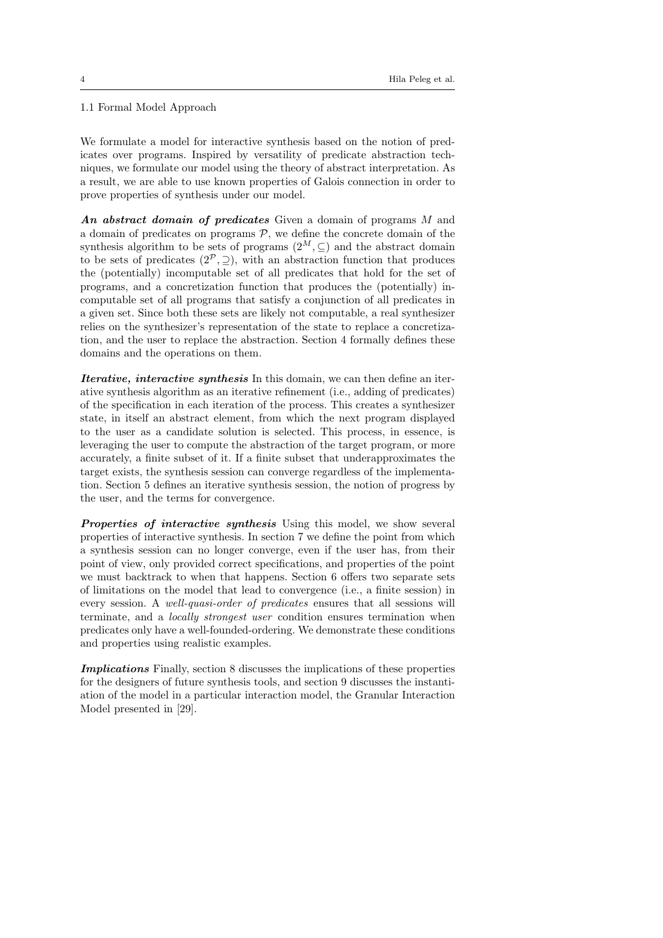# 1.1 Formal Model Approach

We formulate a model for interactive synthesis based on the notion of predicates over programs. Inspired by versatility of predicate abstraction techniques, we formulate our model using the theory of abstract interpretation. As a result, we are able to use known properties of Galois connection in order to prove properties of synthesis under our model.

An abstract domain of predicates Given a domain of programs M and a domain of predicates on programs  $P$ , we define the concrete domain of the synthesis algorithm to be sets of programs  $(2^M, \subseteq)$  and the abstract domain to be sets of predicates  $(2^{\mathcal{P}}, 2)$ , with an abstraction function that produces the (potentially) incomputable set of all predicates that hold for the set of programs, and a concretization function that produces the (potentially) incomputable set of all programs that satisfy a conjunction of all predicates in a given set. Since both these sets are likely not computable, a real synthesizer relies on the synthesizer's representation of the state to replace a concretization, and the user to replace the abstraction. Section 4 formally defines these domains and the operations on them.

Iterative, interactive synthesis In this domain, we can then define an iterative synthesis algorithm as an iterative refinement (i.e., adding of predicates) of the specification in each iteration of the process. This creates a synthesizer state, in itself an abstract element, from which the next program displayed to the user as a candidate solution is selected. This process, in essence, is leveraging the user to compute the abstraction of the target program, or more accurately, a finite subset of it. If a finite subset that underapproximates the target exists, the synthesis session can converge regardless of the implementation. Section 5 defines an iterative synthesis session, the notion of progress by the user, and the terms for convergence.

**Properties of interactive synthesis** Using this model, we show several properties of interactive synthesis. In section 7 we define the point from which a synthesis session can no longer converge, even if the user has, from their point of view, only provided correct specifications, and properties of the point we must backtrack to when that happens. Section 6 offers two separate sets of limitations on the model that lead to convergence (i.e., a finite session) in every session. A well-quasi-order of predicates ensures that all sessions will terminate, and a locally strongest user condition ensures termination when predicates only have a well-founded-ordering. We demonstrate these conditions and properties using realistic examples.

Implications Finally, section 8 discusses the implications of these properties for the designers of future synthesis tools, and section 9 discusses the instantiation of the model in a particular interaction model, the Granular Interaction Model presented in [29].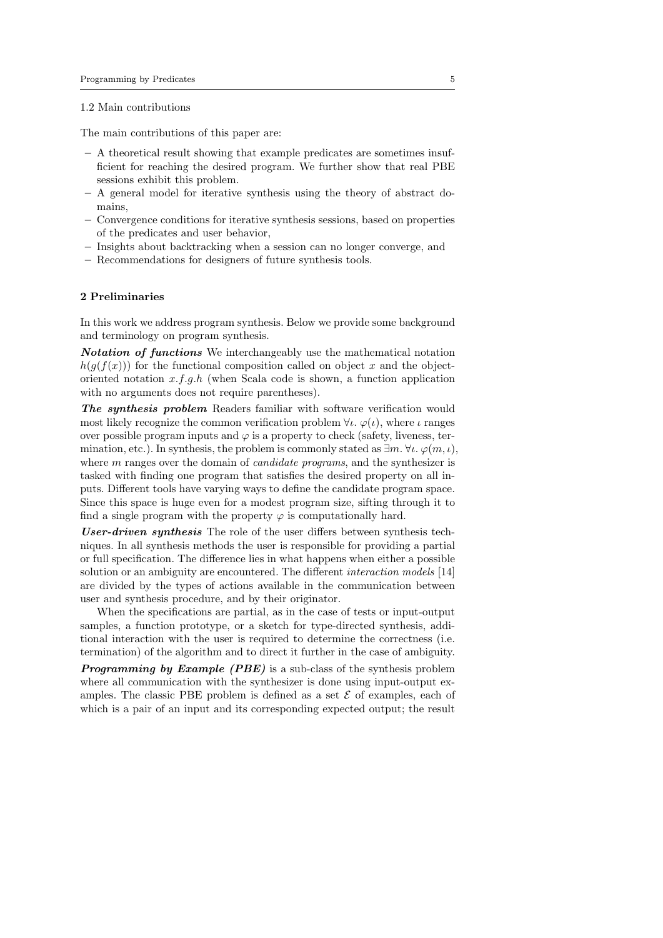# 1.2 Main contributions

The main contributions of this paper are:

- A theoretical result showing that example predicates are sometimes insufficient for reaching the desired program. We further show that real PBE sessions exhibit this problem.
- A general model for iterative synthesis using the theory of abstract domains,
- Convergence conditions for iterative synthesis sessions, based on properties of the predicates and user behavior,
- Insights about backtracking when a session can no longer converge, and
- Recommendations for designers of future synthesis tools.

# 2 Preliminaries

In this work we address program synthesis. Below we provide some background and terminology on program synthesis.

Notation of functions We interchangeably use the mathematical notation  $h(q(f(x)))$  for the functional composition called on object x and the objectoriented notation x.f.g.h (when Scala code is shown, a function application with no arguments does not require parentheses).

The synthesis problem Readers familiar with software verification would most likely recognize the common verification problem  $\forall \iota$ .  $\varphi(\iota)$ , where  $\iota$  ranges over possible program inputs and  $\varphi$  is a property to check (safety, liveness, termination, etc.). In synthesis, the problem is commonly stated as  $\exists m. \forall \iota. \varphi(m, \iota)$ , where m ranges over the domain of *candidate programs*, and the synthesizer is tasked with finding one program that satisfies the desired property on all inputs. Different tools have varying ways to define the candidate program space. Since this space is huge even for a modest program size, sifting through it to find a single program with the property  $\varphi$  is computationally hard.

User-driven synthesis The role of the user differs between synthesis techniques. In all synthesis methods the user is responsible for providing a partial or full specification. The difference lies in what happens when either a possible solution or an ambiguity are encountered. The different *interaction models* [14] are divided by the types of actions available in the communication between user and synthesis procedure, and by their originator.

When the specifications are partial, as in the case of tests or input-output samples, a function prototype, or a sketch for type-directed synthesis, additional interaction with the user is required to determine the correctness (i.e. termination) of the algorithm and to direct it further in the case of ambiguity.

**Programming by Example (PBE)** is a sub-class of the synthesis problem where all communication with the synthesizer is done using input-output examples. The classic PBE problem is defined as a set  $\mathcal E$  of examples, each of which is a pair of an input and its corresponding expected output; the result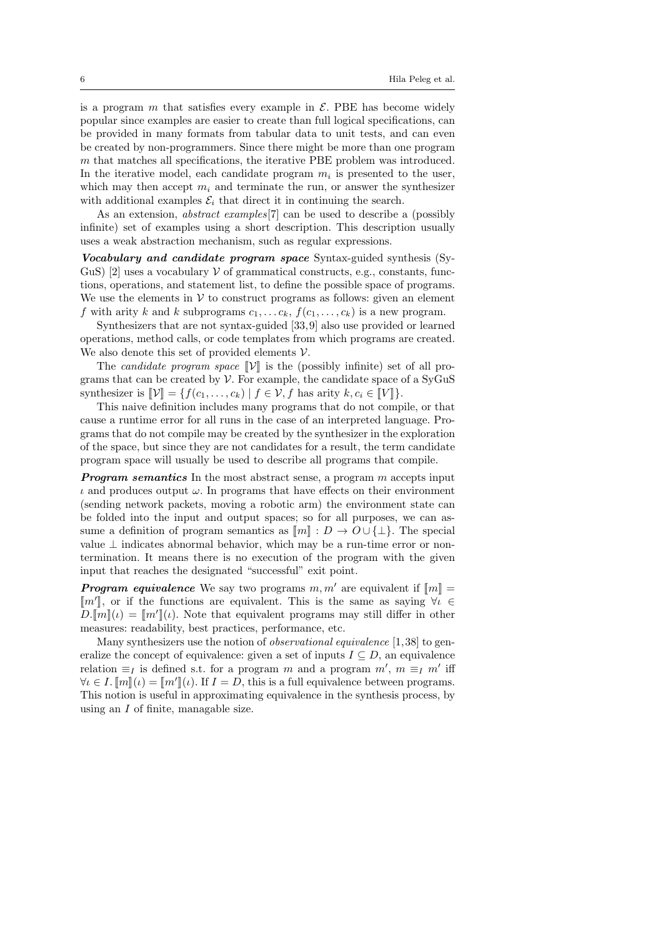is a program m that satisfies every example in  $\mathcal{E}$ . PBE has become widely popular since examples are easier to create than full logical specifications, can be provided in many formats from tabular data to unit tests, and can even be created by non-programmers. Since there might be more than one program m that matches all specifications, the iterative PBE problem was introduced. In the iterative model, each candidate program  $m_i$  is presented to the user, which may then accept  $m_i$  and terminate the run, or answer the synthesizer with additional examples  $\mathcal{E}_i$  that direct it in continuing the search.

As an extension, abstract examples[7] can be used to describe a (possibly infinite) set of examples using a short description. This description usually uses a weak abstraction mechanism, such as regular expressions.

Vocabulary and candidate program space Syntax-guided synthesis (Sy-GuS) [2] uses a vocabulary  $V$  of grammatical constructs, e.g., constants, functions, operations, and statement list, to define the possible space of programs. We use the elements in  $V$  to construct programs as follows: given an element f with arity k and k subprograms  $c_1, \ldots c_k$ ,  $f(c_1, \ldots, c_k)$  is a new program.

Synthesizers that are not syntax-guided [33, 9] also use provided or learned operations, method calls, or code templates from which programs are created. We also denote this set of provided elements  $V$ .

The *candidate program space*  $\llbracket \mathcal{V} \rrbracket$  is the (possibly infinite) set of all programs that can be created by  $V$ . For example, the candidate space of a SyGuS synthesizer is  $\llbracket \mathcal{V} \rrbracket = \{f(c_1, \ldots, c_k) \mid f \in \mathcal{V}, f \text{ has arity } k, c_i \in \llbracket V \rrbracket \}.$ 

This naive definition includes many programs that do not compile, or that cause a runtime error for all runs in the case of an interpreted language. Programs that do not compile may be created by the synthesizer in the exploration of the space, but since they are not candidates for a result, the term candidate program space will usually be used to describe all programs that compile.

**Program semantics** In the most abstract sense, a program m accepts input  $\iota$  and produces output  $\omega$ . In programs that have effects on their environment (sending network packets, moving a robotic arm) the environment state can be folded into the input and output spaces; so for all purposes, we can assume a definition of program semantics as  $\llbracket m \rrbracket : D \to O \cup \{\perp\}.$  The special value  $\perp$  indicates abnormal behavior, which may be a run-time error or nontermination. It means there is no execution of the program with the given input that reaches the designated "successful" exit point.

**Program equivalence** We say two programs  $m, m'$  are equivalent if  $\llbracket m \rrbracket$  =  $\llbracket m' \rrbracket$ , or if the functions are equivalent. This is the same as saying  $\forall \iota \in D \llbracket m \rrbracket(\iota) = \llbracket m' \rrbracket(\iota)$ . Note that equivalent programs may still differ in other  $D[\![m]\!](\iota) = [\![m']\!](\iota)$ . Note that equivalent programs may still differ in other measures: readability, best practices, performance, etc.

Many synthesizers use the notion of *observational equivalence* [1,38] to generalize the concept of equivalence: given a set of inputs  $I \subseteq D$ , an equivalence relation  $\equiv_I$  is defined s.t. for a program m and a program  $m'$ ,  $m \equiv_I m'$  iff  $\forall \iota \in I$ .  $[\![m]\!](\iota) = [\![m']\!](\iota)$ . If  $I = D$ , this is a full equivalence between programs.<br>This notion is useful in approximating equivalence in the synthesis process, by This notion is useful in approximating equivalence in the synthesis process, by using an I of finite, managable size.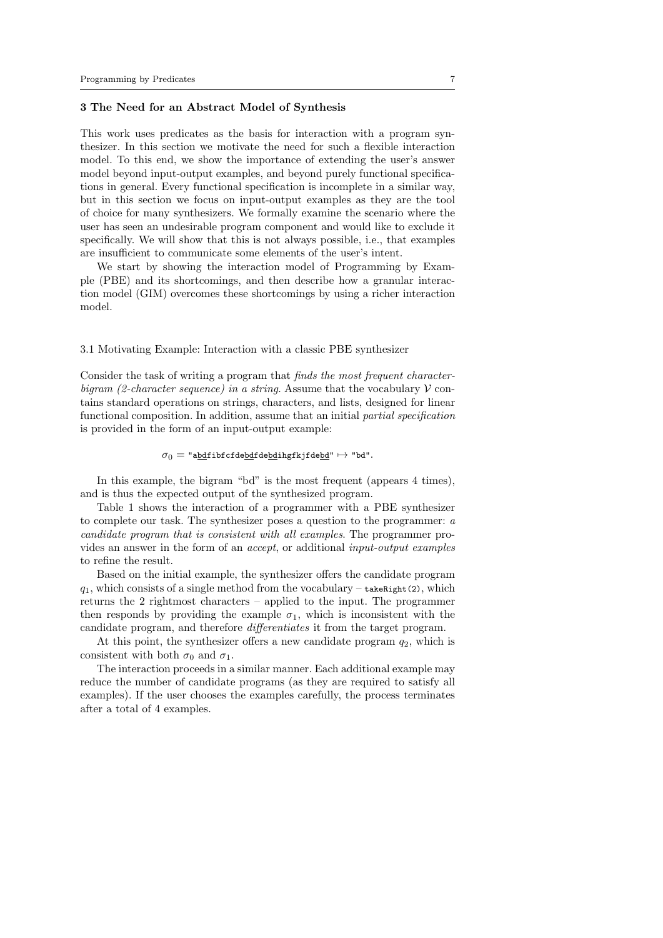# 3 The Need for an Abstract Model of Synthesis

This work uses predicates as the basis for interaction with a program synthesizer. In this section we motivate the need for such a flexible interaction model. To this end, we show the importance of extending the user's answer model beyond input-output examples, and beyond purely functional specifications in general. Every functional specification is incomplete in a similar way, but in this section we focus on input-output examples as they are the tool of choice for many synthesizers. We formally examine the scenario where the user has seen an undesirable program component and would like to exclude it specifically. We will show that this is not always possible, i.e., that examples are insufficient to communicate some elements of the user's intent.

We start by showing the interaction model of Programming by Example (PBE) and its shortcomings, and then describe how a granular interaction model (GIM) overcomes these shortcomings by using a richer interaction model.

## 3.1 Motivating Example: Interaction with a classic PBE synthesizer

Consider the task of writing a program that finds the most frequent characterbigram (2-character sequence) in a string. Assume that the vocabulary  $\mathcal V$  contains standard operations on strings, characters, and lists, designed for linear functional composition. In addition, assume that an initial partial specification is provided in the form of an input-output example:

# $\sigma_0$  = "abdfibfcfdebdfdebdihgfkjfdebd"  $\mapsto$  "bd".

In this example, the bigram "bd" is the most frequent (appears 4 times), and is thus the expected output of the synthesized program.

Table 1 shows the interaction of a programmer with a PBE synthesizer to complete our task. The synthesizer poses a question to the programmer: a candidate program that is consistent with all examples. The programmer provides an answer in the form of an accept, or additional input-output examples to refine the result.

Based on the initial example, the synthesizer offers the candidate program  $q_1$ , which consists of a single method from the vocabulary – takeRight(2), which returns the 2 rightmost characters – applied to the input. The programmer then responds by providing the example  $\sigma_1$ , which is inconsistent with the candidate program, and therefore differentiates it from the target program.

At this point, the synthesizer offers a new candidate program  $q_2$ , which is consistent with both  $\sigma_0$  and  $\sigma_1$ .

The interaction proceeds in a similar manner. Each additional example may reduce the number of candidate programs (as they are required to satisfy all examples). If the user chooses the examples carefully, the process terminates after a total of 4 examples.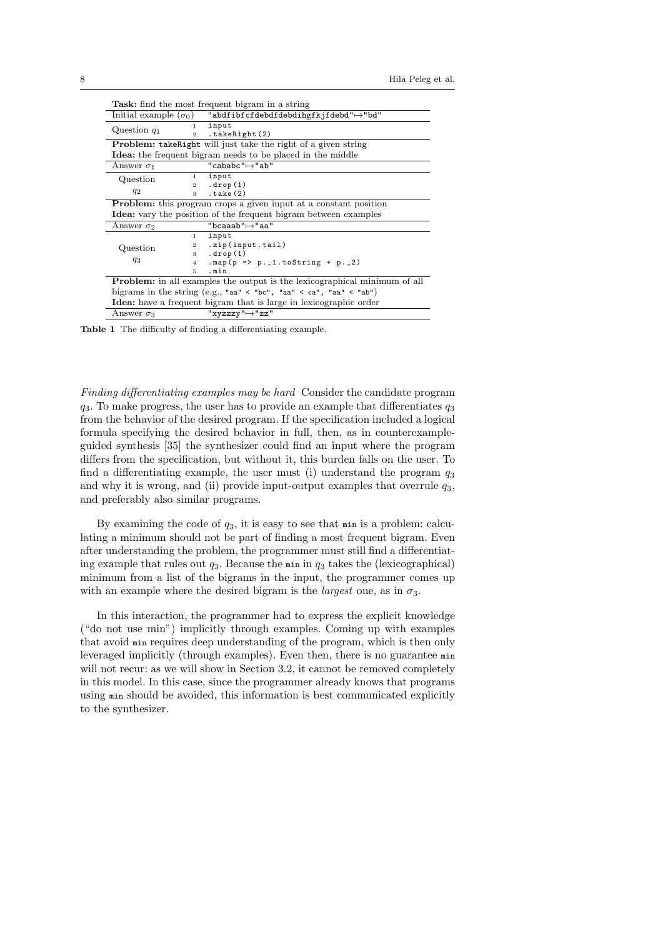| <b>Task:</b> find the most frequent bigram in a string                           |                                                                   |  |  |  |
|----------------------------------------------------------------------------------|-------------------------------------------------------------------|--|--|--|
| Initial example $(\sigma_0)$                                                     | "abdfibfcfdebdfdebdihgfkjfdebd" $\mapsto$ "bd"                    |  |  |  |
| Question $q_1$                                                                   | input<br>1                                                        |  |  |  |
|                                                                                  | .takeRight(2)<br>$\overline{2}$                                   |  |  |  |
| <b>Problem:</b> take Right will just take the right of a given string            |                                                                   |  |  |  |
| <b>Idea:</b> the frequent bigram needs to be placed in the middle                |                                                                   |  |  |  |
| Answer $\sigma_1$                                                                | "cababc" $\mapsto$ "ab"                                           |  |  |  |
| Question                                                                         | input<br>$\mathbf{1}$                                             |  |  |  |
|                                                                                  | drop(1)<br>$\overline{2}$                                         |  |  |  |
| $q_2$                                                                            | , take(2)<br>3                                                    |  |  |  |
| <b>Problem:</b> this program crops a given input at a constant position          |                                                                   |  |  |  |
| <b>Idea:</b> vary the position of the frequent bigram between examples           |                                                                   |  |  |  |
| Answer $\sigma_2$                                                                | "bcaaab" $\mapsto$ "aa"                                           |  |  |  |
|                                                                                  | input<br>$\mathbf{1}$                                             |  |  |  |
| Question                                                                         | .zip(input.tail)<br>$\overline{2}$                                |  |  |  |
|                                                                                  | drop(1)<br>3                                                      |  |  |  |
| $q_3$                                                                            | .map( $p \Rightarrow p. 1.$ toString + $p. 2$ )<br>$\overline{4}$ |  |  |  |
|                                                                                  | .min<br>5.                                                        |  |  |  |
| <b>Problem:</b> in all examples the output is the lexicographical minimum of all |                                                                   |  |  |  |
| bigrams in the string (e.g., "aa" < "bc", "aa" < ca", "aa" < "ab")               |                                                                   |  |  |  |
| <b>Idea:</b> have a frequent bigram that is large in lexicographic order         |                                                                   |  |  |  |
| Answer $\sigma_3$                                                                | "xyzzzy" $\mapsto$ "zz"                                           |  |  |  |

Table 1 The difficulty of finding a differentiating example.

Finding differentiating examples may be hard Consider the candidate program  $q_3$ . To make progress, the user has to provide an example that differentiates  $q_3$ from the behavior of the desired program. If the specification included a logical formula specifying the desired behavior in full, then, as in counterexampleguided synthesis [35] the synthesizer could find an input where the program differs from the specification, but without it, this burden falls on the user. To find a differentiating example, the user must (i) understand the program  $q_3$ and why it is wrong, and (ii) provide input-output examples that overrule  $q_3$ , and preferably also similar programs.

By examining the code of  $q_3$ , it is easy to see that  $\min$  is a problem: calculating a minimum should not be part of finding a most frequent bigram. Even after understanding the problem, the programmer must still find a differentiating example that rules out  $q_3$ . Because the min in  $q_3$  takes the (lexicographical) minimum from a list of the bigrams in the input, the programmer comes up with an example where the desired bigram is the *largest* one, as in  $\sigma_3$ .

In this interaction, the programmer had to express the explicit knowledge ("do not use min") implicitly through examples. Coming up with examples that avoid min requires deep understanding of the program, which is then only leveraged implicitly (through examples). Even then, there is no guarantee min will not recur: as we will show in Section 3.2, it cannot be removed completely in this model. In this case, since the programmer already knows that programs using min should be avoided, this information is best communicated explicitly to the synthesizer.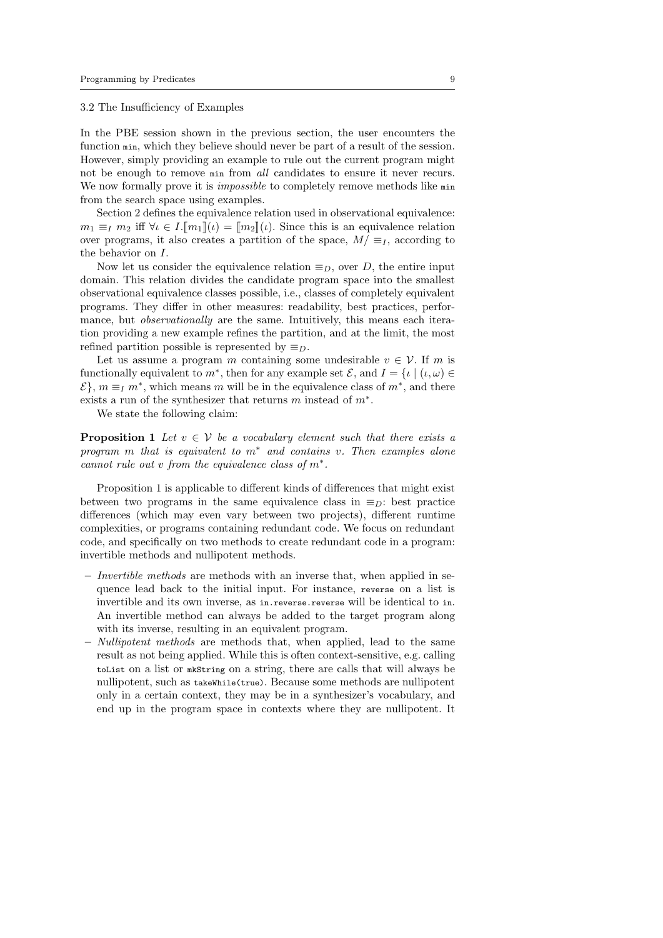# 3.2 The Insufficiency of Examples

In the PBE session shown in the previous section, the user encounters the function min, which they believe should never be part of a result of the session. However, simply providing an example to rule out the current program might not be enough to remove min from all candidates to ensure it never recurs. We now formally prove it is *impossible* to completely remove methods like  $\min$ from the search space using examples.

Section 2 defines the equivalence relation used in observational equivalence:  $m_1 \equiv_I m_2$  iff  $\forall \iota \in I$ .  $[m_1](\iota) = [m_2](\iota)$ . Since this is an equivalence relation over programs, it also creates a partition of the space,  $M/\equiv I$ , according to the behavior on I.

Now let us consider the equivalence relation  $\equiv_D$ , over D, the entire input domain. This relation divides the candidate program space into the smallest observational equivalence classes possible, i.e., classes of completely equivalent programs. They differ in other measures: readability, best practices, performance, but *observationally* are the same. Intuitively, this means each iteration providing a new example refines the partition, and at the limit, the most refined partition possible is represented by  $\equiv_D$ .

Let us assume a program m containing some undesirable  $v \in V$ . If m is functionally equivalent to  $m^*$ , then for any example set  $\mathcal{E}$ , and  $I = \{i \mid (i, \omega) \in$  $\mathcal{E}\}, m \equiv_I m^*$ , which means m will be in the equivalence class of  $m^*$ , and there exists a run of the synthesizer that returns  $m$  instead of  $m^*$ .

We state the following claim:

**Proposition 1** Let  $v \in V$  be a vocabulary element such that there exists a program m that is equivalent to  $m^*$  and contains v. Then examples alone cannot rule out v from the equivalence class of  $m^*$ .

Proposition 1 is applicable to different kinds of differences that might exist between two programs in the same equivalence class in  $\equiv_D$ : best practice differences (which may even vary between two projects), different runtime complexities, or programs containing redundant code. We focus on redundant code, and specifically on two methods to create redundant code in a program: invertible methods and nullipotent methods.

- $-$  *Invertible methods* are methods with an inverse that, when applied in sequence lead back to the initial input. For instance, reverse on a list is invertible and its own inverse, as in.reverse.reverse will be identical to in. An invertible method can always be added to the target program along with its inverse, resulting in an equivalent program.
- Nullipotent methods are methods that, when applied, lead to the same result as not being applied. While this is often context-sensitive, e.g. calling toList on a list or mkString on a string, there are calls that will always be nullipotent, such as takeWhile(true). Because some methods are nullipotent only in a certain context, they may be in a synthesizer's vocabulary, and end up in the program space in contexts where they are nullipotent. It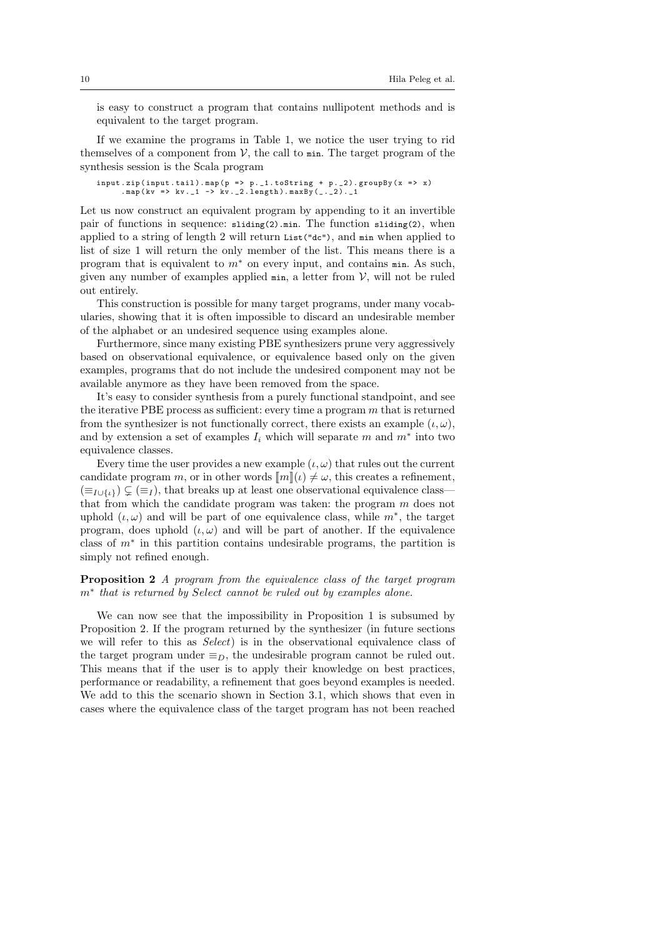is easy to construct a program that contains nullipotent methods and is equivalent to the target program.

If we examine the programs in Table 1, we notice the user trying to rid themselves of a component from  $\mathcal V$ , the call to min. The target program of the synthesis session is the Scala program

 $input \cdot zip(input + tail) \cdot map(p \implies p \cdot _1 \cdot toString + p \cdot _2) \cdot groupBy(x \implies x)$ . map ( kv => kv. \_1 -> kv. \_2. length ) . maxBy ( \_. \_2). \_1

Let us now construct an equivalent program by appending to it an invertible pair of functions in sequence:  $\text{sliding}(2)$ .min. The function  $\text{sliding}(2)$ , when applied to a string of length 2 will return List("dc"), and min when applied to list of size 1 will return the only member of the list. This means there is a program that is equivalent to  $m^*$  on every input, and contains min. As such, given any number of examples applied  $\min$ , a letter from  $\mathcal{V}$ , will not be ruled out entirely.

This construction is possible for many target programs, under many vocabularies, showing that it is often impossible to discard an undesirable member of the alphabet or an undesired sequence using examples alone.

Furthermore, since many existing PBE synthesizers prune very aggressively based on observational equivalence, or equivalence based only on the given examples, programs that do not include the undesired component may not be available anymore as they have been removed from the space.

It's easy to consider synthesis from a purely functional standpoint, and see the iterative PBE process as sufficient: every time a program  $m$  that is returned from the synthesizer is not functionally correct, there exists an example  $(\iota, \omega)$ , and by extension a set of examples  $I_i$  which will separate m and  $m^*$  into two equivalence classes.

Every time the user provides a new example  $(\iota, \omega)$  that rules out the current candidate program m, or in other words  $\llbracket m \rrbracket(\iota) \neq \omega$ , this creates a refinement,  $(\equiv_{I\cup\{i\}})\subsetneq (\equiv_I)$ , that breaks up at least one observational equivalence class that from which the candidate program was taken: the program m does not uphold  $(\iota, \omega)$  and will be part of one equivalence class, while  $m^*$ , the target program, does uphold  $(\iota, \omega)$  and will be part of another. If the equivalence class of  $m^*$  in this partition contains undesirable programs, the partition is simply not refined enough.

# Proposition 2 A program from the equivalence class of the target program m<sup>∗</sup> that is returned by Select cannot be ruled out by examples alone.

We can now see that the impossibility in Proposition 1 is subsumed by Proposition 2. If the program returned by the synthesizer (in future sections we will refer to this as Select) is in the observational equivalence class of the target program under  $\equiv_D$ , the undesirable program cannot be ruled out. This means that if the user is to apply their knowledge on best practices, performance or readability, a refinement that goes beyond examples is needed. We add to this the scenario shown in Section 3.1, which shows that even in cases where the equivalence class of the target program has not been reached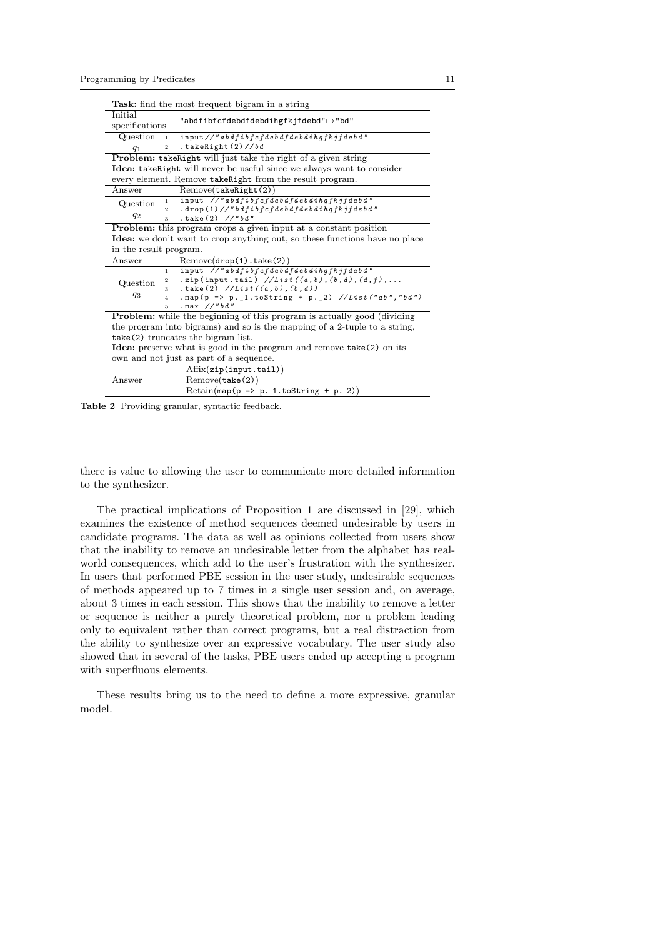| <b>Task:</b> find the most frequent bigram in a string                            |                                                                             |  |  |  |
|-----------------------------------------------------------------------------------|-----------------------------------------------------------------------------|--|--|--|
| Initial                                                                           | "abdfibfcfdebdfdebdihgfkjfdebd" $\mapsto$ "bd"<br>specifications            |  |  |  |
| Question                                                                          | input //"abdfibfcfdebdfdebdihqfkjfdebd"<br>$\mathbf{1}$                     |  |  |  |
| $q_1$                                                                             | $.$ takeRight $(2)$ //bd<br>$\overline{\mathbf{2}}$                         |  |  |  |
| <b>Problem:</b> take Right will just take the right of a given string             |                                                                             |  |  |  |
| Idea: take Right will never be useful since we always want to consider            |                                                                             |  |  |  |
| every element. Remove take Right from the result program.                         |                                                                             |  |  |  |
| Answer<br>Remove(takeRight(2))                                                    |                                                                             |  |  |  |
| Question                                                                          | input //"abdfibfcfdebdfdebdihqfkjfdebd"<br>$\mathbf{1}$                     |  |  |  |
| $q_2$                                                                             | $drop(1) // "bdfibfcfdebdfdebdihgfkjfdebd"$<br>$\overline{2}$               |  |  |  |
|                                                                                   | $.\take(2)$ //"bd"<br>3                                                     |  |  |  |
| <b>Problem:</b> this program crops a given input at a constant position           |                                                                             |  |  |  |
| <b>Idea:</b> we don't want to crop anything out, so these functions have no place |                                                                             |  |  |  |
| in the result program.                                                            |                                                                             |  |  |  |
| Answer                                                                            | Remove(drop(1).take(2))                                                     |  |  |  |
|                                                                                   | input //"abdfibfcfdebdfdebdihgfkjfdebd"<br>$\mathbf{1}$                     |  |  |  |
| Question                                                                          | .zip(input.tail) //List( $(a, b)$ , $(b, d)$ , $(d, f)$ ,<br>$\overline{2}$ |  |  |  |
| $q_3$                                                                             | .take(2) $//List((a, b), (b, d))$<br>3                                      |  |  |  |
|                                                                                   | .map(p => p._1.toString + p._2) //List("ab","bd")<br>4                      |  |  |  |
|                                                                                   | .max $//"bd"$<br>5.                                                         |  |  |  |
| <b>Problem:</b> while the beginning of this program is actually good (dividing    |                                                                             |  |  |  |
| the program into bigrams) and so is the mapping of a 2-tuple to a string,         |                                                                             |  |  |  |
| take(2) truncates the bigram list.                                                |                                                                             |  |  |  |
| <b>Idea:</b> preserve what is good in the program and remove take(2) on its       |                                                                             |  |  |  |
| own and not just as part of a sequence.                                           |                                                                             |  |  |  |
| Affix(zip(input.tail))                                                            |                                                                             |  |  |  |
| Answer                                                                            | Remove(take(2))                                                             |  |  |  |
|                                                                                   | $\text{Retain}(\text{map}(p \Rightarrow p.1.1.1)$                           |  |  |  |
|                                                                                   |                                                                             |  |  |  |

Table 2 Providing granular, syntactic feedback.

there is value to allowing the user to communicate more detailed information to the synthesizer.

The practical implications of Proposition 1 are discussed in [29], which examines the existence of method sequences deemed undesirable by users in candidate programs. The data as well as opinions collected from users show that the inability to remove an undesirable letter from the alphabet has realworld consequences, which add to the user's frustration with the synthesizer. In users that performed PBE session in the user study, undesirable sequences of methods appeared up to 7 times in a single user session and, on average, about 3 times in each session. This shows that the inability to remove a letter or sequence is neither a purely theoretical problem, nor a problem leading only to equivalent rather than correct programs, but a real distraction from the ability to synthesize over an expressive vocabulary. The user study also showed that in several of the tasks, PBE users ended up accepting a program with superfluous elements.

These results bring us to the need to define a more expressive, granular model.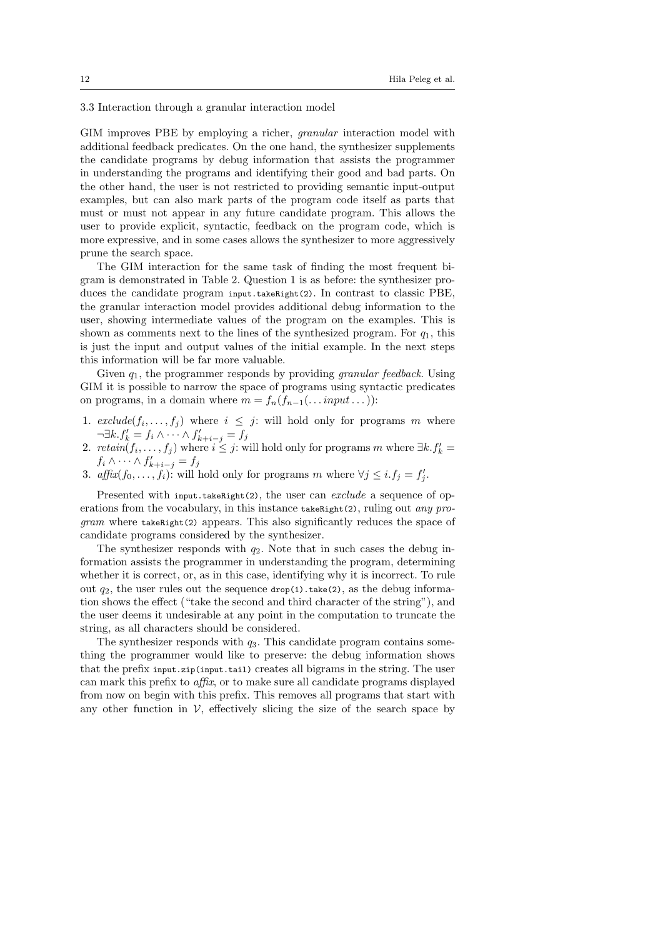3.3 Interaction through a granular interaction model

GIM improves PBE by employing a richer, granular interaction model with additional feedback predicates. On the one hand, the synthesizer supplements the candidate programs by debug information that assists the programmer in understanding the programs and identifying their good and bad parts. On the other hand, the user is not restricted to providing semantic input-output examples, but can also mark parts of the program code itself as parts that must or must not appear in any future candidate program. This allows the user to provide explicit, syntactic, feedback on the program code, which is more expressive, and in some cases allows the synthesizer to more aggressively prune the search space.

The GIM interaction for the same task of finding the most frequent bigram is demonstrated in Table 2. Question 1 is as before: the synthesizer produces the candidate program input.takeRight(2). In contrast to classic PBE, the granular interaction model provides additional debug information to the user, showing intermediate values of the program on the examples. This is shown as comments next to the lines of the synthesized program. For  $q_1$ , this is just the input and output values of the initial example. In the next steps this information will be far more valuable.

Given  $q_1$ , the programmer responds by providing *granular feedback*. Using GIM it is possible to narrow the space of programs using syntactic predicates on programs, in a domain where  $m = f_n(f_{n-1}(\ldots input \ldots))$ :

- 1.  $\mathit{exclude}(f_i, \ldots, f_j)$  where  $i \leq j$ : will hold only for programs m where  $\neg \exists k . f'_k = f_i \wedge \cdots \wedge f'_{k+i-j} = f_j$
- 2.  $\text{retain}(f_i, \ldots, f_j)$  where  $i \leq j$ : will hold only for programs m where  $\exists k.f'_k =$  $f_i \wedge \cdots \wedge f'_{k+i-j} = f_j$
- 3.  $affix(f_0, \ldots, f_i)$ : will hold only for programs m where  $\forall j \leq i.f_j = f'_j$ .

Presented with input.takeRight(2), the user can exclude a sequence of operations from the vocabulary, in this instance take Right(2), ruling out any program where takeRight(2) appears. This also significantly reduces the space of candidate programs considered by the synthesizer.

The synthesizer responds with  $q_2$ . Note that in such cases the debug information assists the programmer in understanding the program, determining whether it is correct, or, as in this case, identifying why it is incorrect. To rule out  $q_2$ , the user rules out the sequence  $\text{drop}(1)$ .take(2), as the debug information shows the effect ("take the second and third character of the string"), and the user deems it undesirable at any point in the computation to truncate the string, as all characters should be considered.

The synthesizer responds with  $q_3$ . This candidate program contains something the programmer would like to preserve: the debug information shows that the prefix input.zip(input.tail) creates all bigrams in the string. The user can mark this prefix to affix, or to make sure all candidate programs displayed from now on begin with this prefix. This removes all programs that start with any other function in  $V$ , effectively slicing the size of the search space by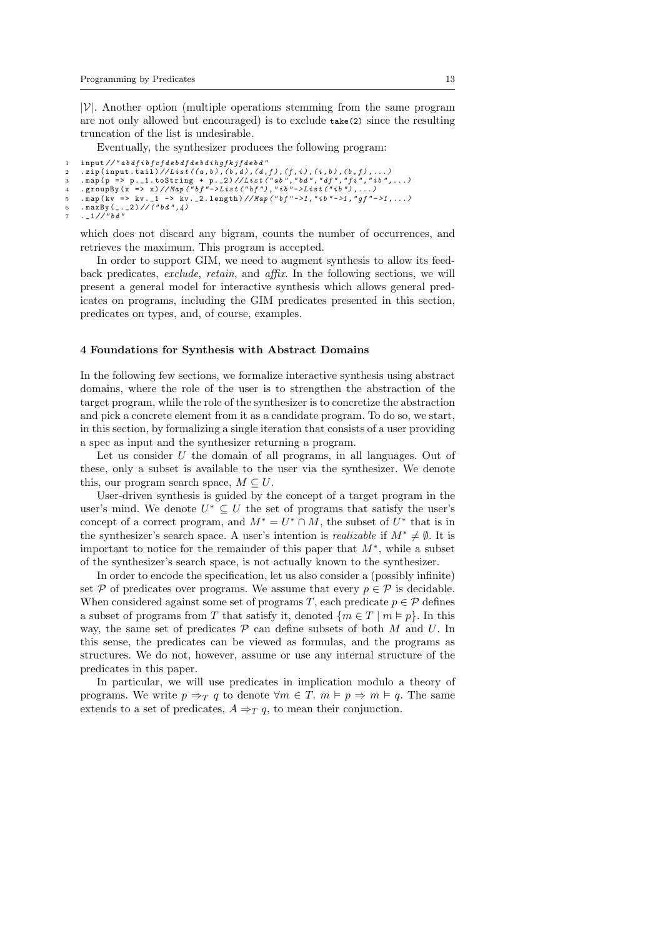$|\mathcal{V}|$ . Another option (multiple operations stemming from the same program are not only allowed but encouraged) is to exclude take(2) since the resulting truncation of the list is undesirable.

Eventually, the synthesizer produces the following program:

```
1 input \frac{\ell}{a} \delta \frac{f}{b} f \delta \frac{f}{d} e \delta \frac{f}{d} e \delta \frac{f}{d} f \delta \frac{g}{d} f} . zip(input.tail) \frac{\ell}{a} f(a, b), (b, d), (d,
2 . zip (input . tail) // List ((a, b), (b, d), (d, f), (f, i), (i, b), (b, f), ...)<br>3 . map (p => p. 1, to String + p. 2) // List ("ab", "bd", "df", "fi", "ib",
 3 .map(p => p._1.toString + p._2)//List("ab","bd","df","fi","ib",...)<br>4 .groupBy(x => x)//Map("bf"->List("bf"),"ib"->List("ib"),...)<br>5 .map(kv => kv._1 -> kv._2.length)//Map("bf"->1,"ib"->1,"gf"->1,...)
6 . maxBy (_._2) // ("bd", 4)
         . -1 //" b d"
```
which does not discard any bigram, counts the number of occurrences, and retrieves the maximum. This program is accepted.

In order to support GIM, we need to augment synthesis to allow its feedback predicates, exclude, retain, and affix. In the following sections, we will present a general model for interactive synthesis which allows general predicates on programs, including the GIM predicates presented in this section, predicates on types, and, of course, examples.

# 4 Foundations for Synthesis with Abstract Domains

In the following few sections, we formalize interactive synthesis using abstract domains, where the role of the user is to strengthen the abstraction of the target program, while the role of the synthesizer is to concretize the abstraction and pick a concrete element from it as a candidate program. To do so, we start, in this section, by formalizing a single iteration that consists of a user providing a spec as input and the synthesizer returning a program.

Let us consider  $U$  the domain of all programs, in all languages. Out of these, only a subset is available to the user via the synthesizer. We denote this, our program search space,  $M \subseteq U$ .

User-driven synthesis is guided by the concept of a target program in the user's mind. We denote  $U^* \subseteq U$  the set of programs that satisfy the user's concept of a correct program, and  $M^* = U^* \cap M$ , the subset of  $U^*$  that is in the synthesizer's search space. A user's intention is *realizable* if  $M^* \neq \emptyset$ . It is important to notice for the remainder of this paper that  $M^*$ , while a subset of the synthesizer's search space, is not actually known to the synthesizer.

In order to encode the specification, let us also consider a (possibly infinite) set P of predicates over programs. We assume that every  $p \in \mathcal{P}$  is decidable. When considered against some set of programs T, each predicate  $p \in \mathcal{P}$  defines a subset of programs from T that satisfy it, denoted  $\{m \in T \mid m \models p\}$ . In this way, the same set of predicates  $P$  can define subsets of both M and U. In this sense, the predicates can be viewed as formulas, and the programs as structures. We do not, however, assume or use any internal structure of the predicates in this paper.

In particular, we will use predicates in implication modulo a theory of programs. We write  $p \Rightarrow_T q$  to denote  $\forall m \in T$ .  $m \models p \Rightarrow m \models q$ . The same extends to a set of predicates,  $A \Rightarrow_T q$ , to mean their conjunction.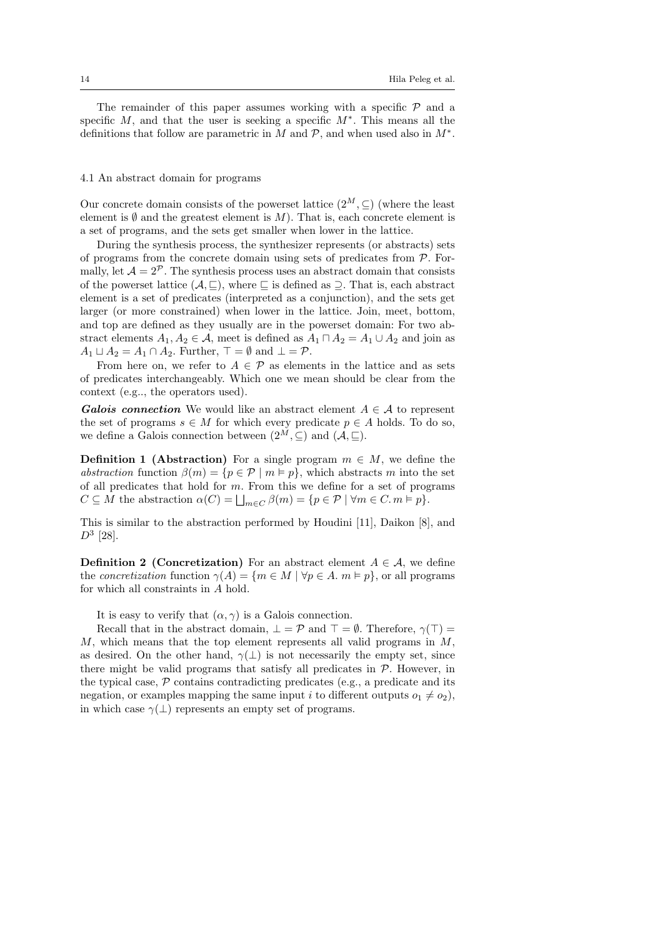The remainder of this paper assumes working with a specific  $P$  and a specific  $M$ , and that the user is seeking a specific  $M^*$ . This means all the definitions that follow are parametric in  $M$  and  $P$ , and when used also in  $M^*$ .

# 4.1 An abstract domain for programs

Our concrete domain consists of the powerset lattice  $(2^M, \subseteq)$  (where the least element is  $\emptyset$  and the greatest element is M). That is, each concrete element is a set of programs, and the sets get smaller when lower in the lattice.

During the synthesis process, the synthesizer represents (or abstracts) sets of programs from the concrete domain using sets of predicates from  $P$ . Formally, let  $\mathcal{A} = 2^{\mathcal{P}}$ . The synthesis process uses an abstract domain that consists of the powerset lattice  $(A, \square)$ , where  $\square$  is defined as  $\square$ . That is, each abstract element is a set of predicates (interpreted as a conjunction), and the sets get larger (or more constrained) when lower in the lattice. Join, meet, bottom, and top are defined as they usually are in the powerset domain: For two abstract elements  $A_1, A_2 \in \mathcal{A}$ , meet is defined as  $A_1 \cap A_2 = A_1 \cup A_2$  and join as  $A_1 \sqcup A_2 = A_1 \cap A_2$ . Further,  $\top = \emptyset$  and  $\bot = \mathcal{P}$ .

From here on, we refer to  $A \in \mathcal{P}$  as elements in the lattice and as sets of predicates interchangeably. Which one we mean should be clear from the context (e.g.., the operators used).

**Galois connection** We would like an abstract element  $A \in \mathcal{A}$  to represent the set of programs  $s \in M$  for which every predicate  $p \in A$  holds. To do so, we define a Galois connection between  $(2^M, \subseteq)$  and  $(\mathcal{A}, \subseteq)$ .

**Definition 1 (Abstraction)** For a single program  $m \in M$ , we define the abstraction function  $\beta(m) = \{p \in \mathcal{P} \mid m \models p\}$ , which abstracts m into the set of all predicates that hold for m. From this we define for a set of programs  $C \subseteq M$  the abstraction  $\alpha(C) = \bigsqcup_{m \in C} \beta(m) = \{p \in \mathcal{P} \mid \forall m \in C, m \models p\}.$ 

This is similar to the abstraction performed by Houdini [11], Daikon [8], and  $D^3$  [28].

**Definition 2 (Concretization)** For an abstract element  $A \in \mathcal{A}$ , we define the concretization function  $\gamma(A) = \{m \in M \mid \forall p \in A \mid m \models p\}$ , or all programs for which all constraints in A hold.

It is easy to verify that  $(\alpha, \gamma)$  is a Galois connection.

Recall that in the abstract domain,  $\bot = \mathcal{P}$  and  $\top = \emptyset$ . Therefore,  $\gamma(\top) =$  $M$ , which means that the top element represents all valid programs in  $M$ , as desired. On the other hand,  $\gamma(\perp)$  is not necessarily the empty set, since there might be valid programs that satisfy all predicates in  $\mathcal{P}$ . However, in the typical case,  $P$  contains contradicting predicates (e.g., a predicate and its negation, or examples mapping the same input i to different outputs  $o_1 \neq o_2$ ), in which case  $\gamma(\perp)$  represents an empty set of programs.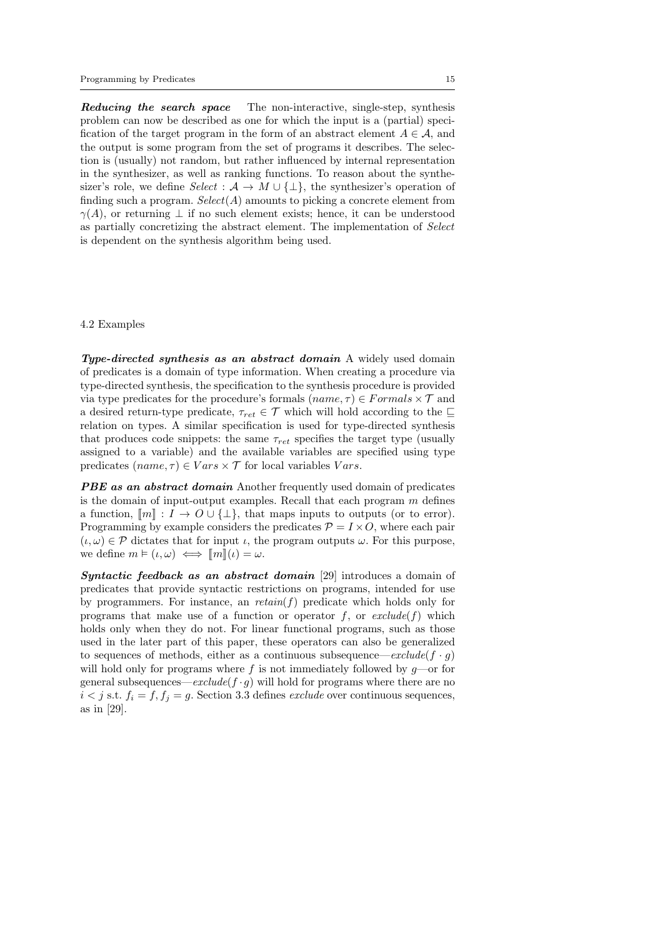**Reducing the search space** The non-interactive, single-step, synthesis problem can now be described as one for which the input is a (partial) specification of the target program in the form of an abstract element  $A \in \mathcal{A}$ , and the output is some program from the set of programs it describes. The selection is (usually) not random, but rather influenced by internal representation in the synthesizer, as well as ranking functions. To reason about the synthesizer's role, we define  $Select : \mathcal{A} \to M \cup \{\perp\}$ , the synthesizer's operation of finding such a program.  $Select(A)$  amounts to picking a concrete element from  $\gamma(A)$ , or returning  $\perp$  if no such element exists; hence, it can be understood as partially concretizing the abstract element. The implementation of Select is dependent on the synthesis algorithm being used.

# 4.2 Examples

Type-directed synthesis as an abstract domain A widely used domain of predicates is a domain of type information. When creating a procedure via type-directed synthesis, the specification to the synthesis procedure is provided via type predicates for the procedure's formals  $(name, \tau) \in Formals \times \mathcal{T}$  and a desired return-type predicate,  $\tau_{ret} \in \mathcal{T}$  which will hold according to the  $\sqsubseteq$ relation on types. A similar specification is used for type-directed synthesis that produces code snippets: the same  $\tau_{ret}$  specifies the target type (usually assigned to a variable) and the available variables are specified using type predicates  $(name, \tau) \in Vars \times T$  for local variables  $Vars$ .

**PBE** as an abstract domain Another frequently used domain of predicates is the domain of input-output examples. Recall that each program  $m$  defines a function,  $\llbracket m \rrbracket : I \to O \cup \{\perp\}$ , that maps inputs to outputs (or to error). Programming by example considers the predicates  $P = I \times O$ , where each pair  $(\iota, \omega) \in \mathcal{P}$  dictates that for input  $\iota$ , the program outputs  $\omega$ . For this purpose, we define  $m \models (\iota, \omega) \iff \|m\|(\iota) = \omega$ .

Syntactic feedback as an abstract domain [29] introduces a domain of predicates that provide syntactic restrictions on programs, intended for use by programmers. For instance, an  $retain(f)$  predicate which holds only for programs that make use of a function or operator f, or  $\operatorname{exclude}(f)$  which holds only when they do not. For linear functional programs, such as those used in the later part of this paper, these operators can also be generalized to sequences of methods, either as a continuous subsequence—exclude( $f \cdot g$ ) will hold only for programs where f is not immediately followed by  $g$ —or for general subsequences— $\epsilon xclude(f \cdot g)$  will hold for programs where there are no  $i < j$  s.t.  $f_i = f$ ,  $f_j = g$ . Section 3.3 defines *exclude* over continuous sequences, as in [29].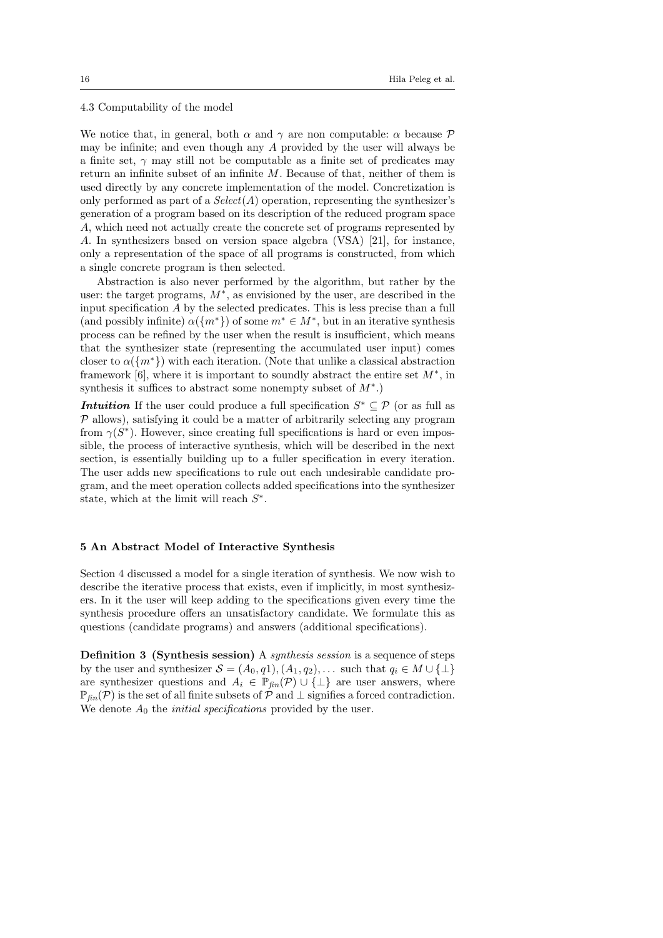# 4.3 Computability of the model

We notice that, in general, both  $\alpha$  and  $\gamma$  are non computable:  $\alpha$  because  $\mathcal P$ may be infinite; and even though any  $A$  provided by the user will always be a finite set,  $\gamma$  may still not be computable as a finite set of predicates may return an infinite subset of an infinite M. Because of that, neither of them is used directly by any concrete implementation of the model. Concretization is only performed as part of a  $Select(A)$  operation, representing the synthesizer's generation of a program based on its description of the reduced program space A, which need not actually create the concrete set of programs represented by A. In synthesizers based on version space algebra (VSA) [21], for instance, only a representation of the space of all programs is constructed, from which a single concrete program is then selected.

Abstraction is also never performed by the algorithm, but rather by the user: the target programs,  $M^*$ , as envisioned by the user, are described in the input specification A by the selected predicates. This is less precise than a full (and possibly infinite)  $\alpha({m^*})$  of some  $m^* \in M^*$ , but in an iterative synthesis process can be refined by the user when the result is insufficient, which means that the synthesizer state (representing the accumulated user input) comes closer to  $\alpha({m^*})$  with each iteration. (Note that unlike a classical abstraction framework  $[6]$ , where it is important to soundly abstract the entire set  $M^*$ , in synthesis it suffices to abstract some nonempty subset of  $M^*$ .)

**Intuition** If the user could produce a full specification  $S^* \subseteq \mathcal{P}$  (or as full as  $P$  allows), satisfying it could be a matter of arbitrarily selecting any program from  $\gamma(S^*)$ . However, since creating full specifications is hard or even impossible, the process of interactive synthesis, which will be described in the next section, is essentially building up to a fuller specification in every iteration. The user adds new specifications to rule out each undesirable candidate program, and the meet operation collects added specifications into the synthesizer state, which at the limit will reach  $S^*$ .

# 5 An Abstract Model of Interactive Synthesis

Section 4 discussed a model for a single iteration of synthesis. We now wish to describe the iterative process that exists, even if implicitly, in most synthesizers. In it the user will keep adding to the specifications given every time the synthesis procedure offers an unsatisfactory candidate. We formulate this as questions (candidate programs) and answers (additional specifications).

Definition 3 (Synthesis session) A synthesis session is a sequence of steps by the user and synthesizer  $S = (A_0, q1), (A_1, q_2), \ldots$  such that  $q_i \in M \cup \{\perp\}$ are synthesizer questions and  $A_i \in \mathbb{P}_{fin}(\mathcal{P}) \cup \{\perp\}$  are user answers, where  $\mathbb{P}_{fin}(\mathcal{P})$  is the set of all finite subsets of P and  $\perp$  signifies a forced contradiction. We denote  $A_0$  the *initial specifications* provided by the user.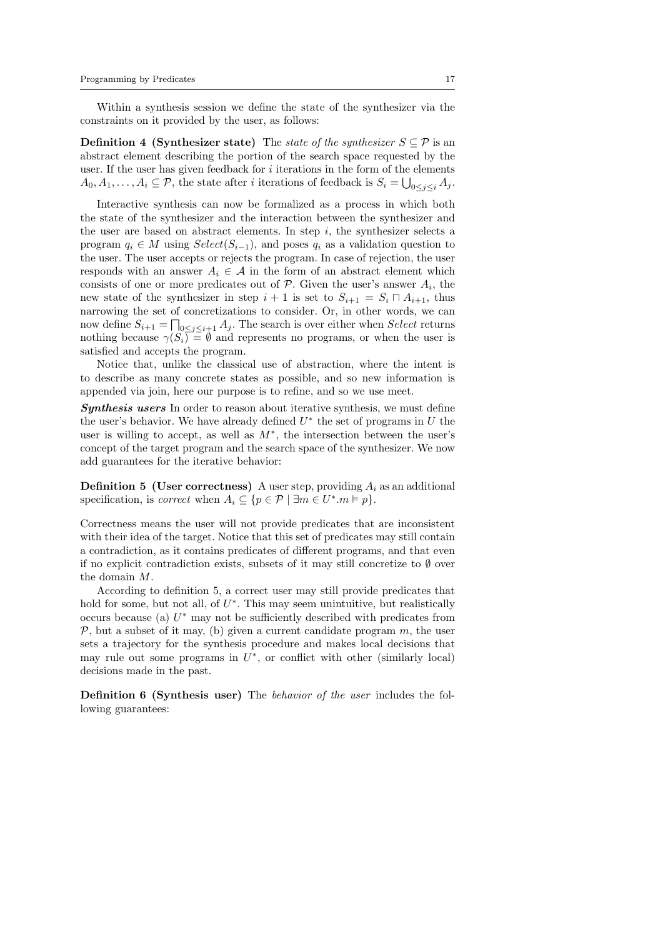Within a synthesis session we define the state of the synthesizer via the constraints on it provided by the user, as follows:

**Definition 4 (Synthesizer state)** The *state of the synthesizer*  $S \subseteq \mathcal{P}$  is an abstract element describing the portion of the search space requested by the user. If the user has given feedback for  $i$  iterations in the form of the elements  $A_0, A_1, \ldots, A_i \subseteq \mathcal{P}$ , the state after *i* iterations of feedback is  $S_i = \bigcup_{0 \leq j \leq i} A_j$ .

Interactive synthesis can now be formalized as a process in which both the state of the synthesizer and the interaction between the synthesizer and the user are based on abstract elements. In step  $i$ , the synthesizer selects a program  $q_i \in M$  using  $Select(S_{i-1})$ , and poses  $q_i$  as a validation question to the user. The user accepts or rejects the program. In case of rejection, the user responds with an answer  $A_i \in \mathcal{A}$  in the form of an abstract element which consists of one or more predicates out of  $P$ . Given the user's answer  $A_i$ , the new state of the synthesizer in step  $i + 1$  is set to  $S_{i+1} = S_i \cap A_{i+1}$ , thus narrowing the set of concretizations to consider. Or, in other words, we can now define  $S_{i+1} = \prod_{0 \leq j \leq i+1} A_j$ . The search is over either when *Select* returns nothing because  $\gamma(S_i) = \emptyset$  and represents no programs, or when the user is satisfied and accepts the program.

Notice that, unlike the classical use of abstraction, where the intent is to describe as many concrete states as possible, and so new information is appended via join, here our purpose is to refine, and so we use meet.

Synthesis users In order to reason about iterative synthesis, we must define the user's behavior. We have already defined  $U^*$  the set of programs in  $U$  the user is willing to accept, as well as  $M^*$ , the intersection between the user's concept of the target program and the search space of the synthesizer. We now add guarantees for the iterative behavior:

**Definition 5 (User correctness)** A user step, providing  $A_i$  as an additional specification, is *correct* when  $A_i \subseteq \{p \in \mathcal{P} \mid \exists m \in U^* . m \models p\}.$ 

Correctness means the user will not provide predicates that are inconsistent with their idea of the target. Notice that this set of predicates may still contain a contradiction, as it contains predicates of different programs, and that even if no explicit contradiction exists, subsets of it may still concretize to  $\emptyset$  over the domain M.

According to definition 5, a correct user may still provide predicates that hold for some, but not all, of  $U^*$ . This may seem unintuitive, but realistically occurs because (a)  $U^*$  may not be sufficiently described with predicates from  $P$ , but a subset of it may, (b) given a current candidate program m, the user sets a trajectory for the synthesis procedure and makes local decisions that may rule out some programs in  $U^*$ , or conflict with other (similarly local) decisions made in the past.

Definition 6 (Synthesis user) The behavior of the user includes the following guarantees: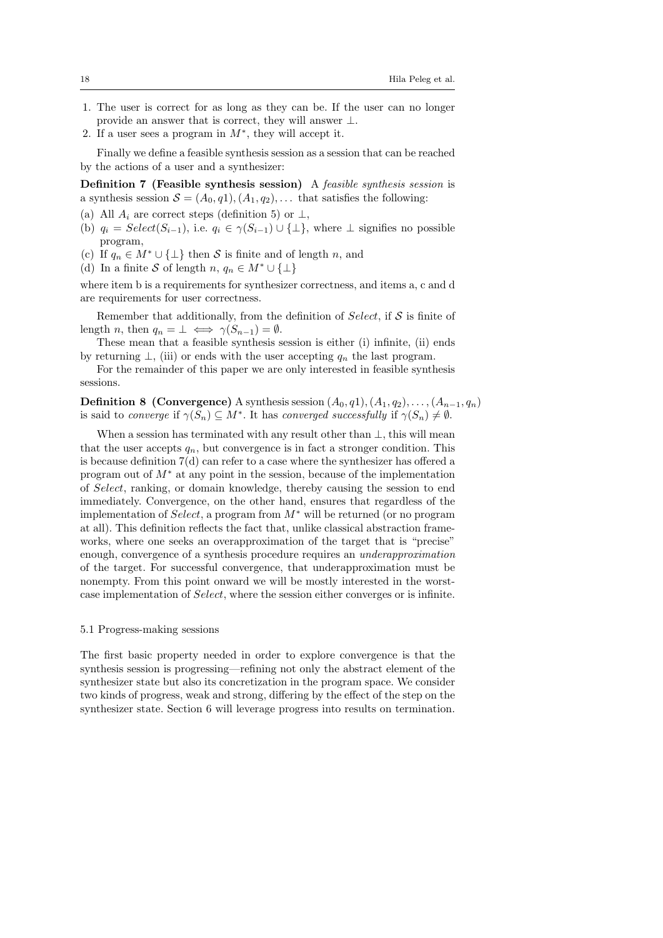- 1. The user is correct for as long as they can be. If the user can no longer provide an answer that is correct, they will answer  $\perp$ .
- 2. If a user sees a program in  $M^*$ , they will accept it.

Finally we define a feasible synthesis session as a session that can be reached by the actions of a user and a synthesizer:

Definition 7 (Feasible synthesis session) A feasible synthesis session is a synthesis session  $S = (A_0, q_1), (A_1, q_2), \dots$  that satisfies the following:

- (a) All  $A_i$  are correct steps (definition 5) or  $\perp$ ,
- (b)  $q_i = Select(S_{i-1}),$  i.e.  $q_i \in \gamma(S_{i-1}) \cup \{\perp\}$ , where  $\perp$  signifies no possible program,
- (c) If  $q_n \in M^* \cup {\perp}$  then S is finite and of length n, and
- (d) In a finite S of length  $n, q_n \in M^* \cup {\perp}$

where item b is a requirements for synthesizer correctness, and items a, c and d are requirements for user correctness.

Remember that additionally, from the definition of Select, if  $S$  is finite of length *n*, then  $q_n = \perp \iff \gamma(S_{n-1}) = \emptyset$ .

These mean that a feasible synthesis session is either (i) infinite, (ii) ends by returning  $\perp$ , (iii) or ends with the user accepting  $q_n$  the last program.

For the remainder of this paper we are only interested in feasible synthesis sessions.

**Definition 8** (Convergence) A synthesis session  $(A_0, q_1), (A_1, q_2), \ldots, (A_{n-1}, q_n)$ is said to converge if  $\gamma(S_n) \subseteq M^*$ . It has converged successfully if  $\gamma(S_n) \neq \emptyset$ .

When a session has terminated with any result other than  $\perp$ , this will mean that the user accepts  $q_n$ , but convergence is in fact a stronger condition. This is because definition 7(d) can refer to a case where the synthesizer has offered a program out of  $M^*$  at any point in the session, because of the implementation of Select, ranking, or domain knowledge, thereby causing the session to end immediately. Convergence, on the other hand, ensures that regardless of the implementation of Select, a program from  $M^*$  will be returned (or no program at all). This definition reflects the fact that, unlike classical abstraction frameworks, where one seeks an overapproximation of the target that is "precise" enough, convergence of a synthesis procedure requires an underapproximation of the target. For successful convergence, that underapproximation must be nonempty. From this point onward we will be mostly interested in the worstcase implementation of Select, where the session either converges or is infinite.

# 5.1 Progress-making sessions

The first basic property needed in order to explore convergence is that the synthesis session is progressing—refining not only the abstract element of the synthesizer state but also its concretization in the program space. We consider two kinds of progress, weak and strong, differing by the effect of the step on the synthesizer state. Section 6 will leverage progress into results on termination.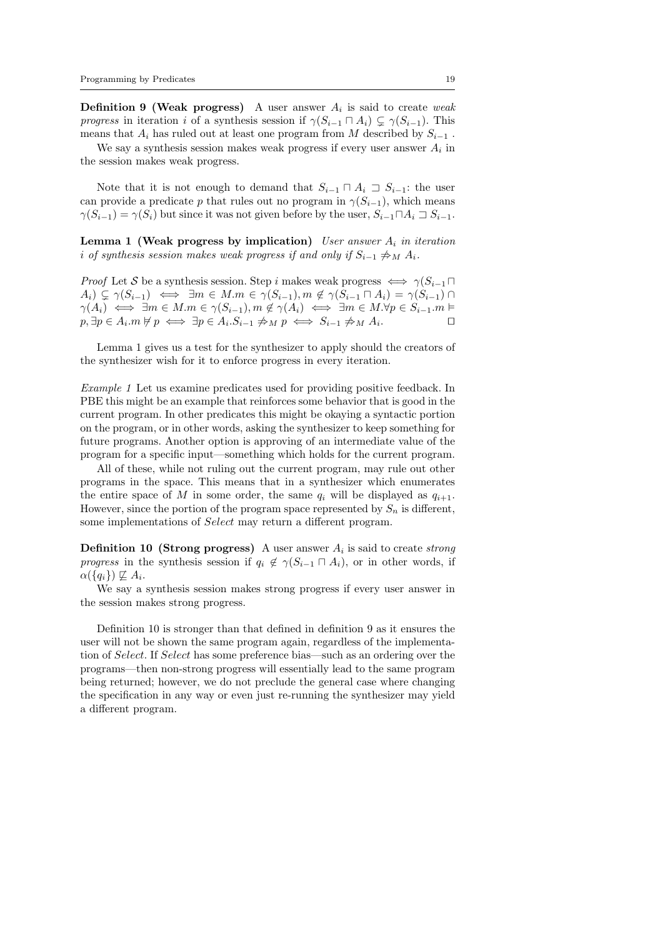**Definition 9 (Weak progress)** A user answer  $A_i$  is said to create weak *progress* in iteration *i* of a synthesis session if  $\gamma(S_{i-1} \sqcap A_i) \subsetneq \gamma(S_{i-1})$ . This means that  $A_i$  has ruled out at least one program from M described by  $S_{i-1}$ .

We say a synthesis session makes weak progress if every user answer  $A_i$  in the session makes weak progress.

Note that it is not enough to demand that  $S_{i-1} \sqcap A_i \sqsupset S_{i-1}$ : the user can provide a predicate p that rules out no program in  $\gamma(S_{i-1})$ , which means  $\gamma(S_{i-1}) = \gamma(S_i)$  but since it was not given before by the user,  $S_{i-1} \sqcap A_i \sqsupseteq S_{i-1}$ .

**Lemma 1 (Weak progress by implication)** User answer  $A_i$  in iteration i of synthesis session makes weak progress if and only if  $S_{i-1} \npreceq_{M} A_i$ .

*Proof* Let S be a synthesis session. Step i makes weak progress  $\iff \gamma(S_{i-1} \sqcap$  $A_i$ )  $\subsetneq \gamma(S_{i-1}) \iff \exists m \in M.m \in \gamma(S_{i-1}), m \notin \gamma(S_{i-1} \cap A_i) = \gamma(S_{i-1}) \cap A_i$  $\gamma(A_i) \iff \exists m \in M.m \in \gamma(S_{i-1}), m \notin \gamma(A_i) \iff \exists m \in M.\forall p \in S_{i-1}.m \models$  $p, \exists p \in A_i \ldotp m \not\vdash p \iff \exists p \in A_i \ldotp S_{i-1} \not\Rightarrow_M p \iff S_{i-1} \not\Rightarrow_M A_i$  $\blacksquare$ 

Lemma 1 gives us a test for the synthesizer to apply should the creators of the synthesizer wish for it to enforce progress in every iteration.

Example 1 Let us examine predicates used for providing positive feedback. In PBE this might be an example that reinforces some behavior that is good in the current program. In other predicates this might be okaying a syntactic portion on the program, or in other words, asking the synthesizer to keep something for future programs. Another option is approving of an intermediate value of the program for a specific input—something which holds for the current program.

All of these, while not ruling out the current program, may rule out other programs in the space. This means that in a synthesizer which enumerates the entire space of M in some order, the same  $q_i$  will be displayed as  $q_{i+1}$ . However, since the portion of the program space represented by  $S_n$  is different, some implementations of *Select* may return a different program.

**Definition 10 (Strong progress)** A user answer  $A_i$  is said to create *strong progress* in the synthesis session if  $q_i \notin \gamma(S_{i-1} \sqcap A_i)$ , or in other words, if  $\alpha(\lbrace q_i \rbrace) \not\sqsubseteq A_i.$ 

We say a synthesis session makes strong progress if every user answer in the session makes strong progress.

Definition 10 is stronger than that defined in definition 9 as it ensures the user will not be shown the same program again, regardless of the implementation of Select. If Select has some preference bias—such as an ordering over the programs—then non-strong progress will essentially lead to the same program being returned; however, we do not preclude the general case where changing the specification in any way or even just re-running the synthesizer may yield a different program.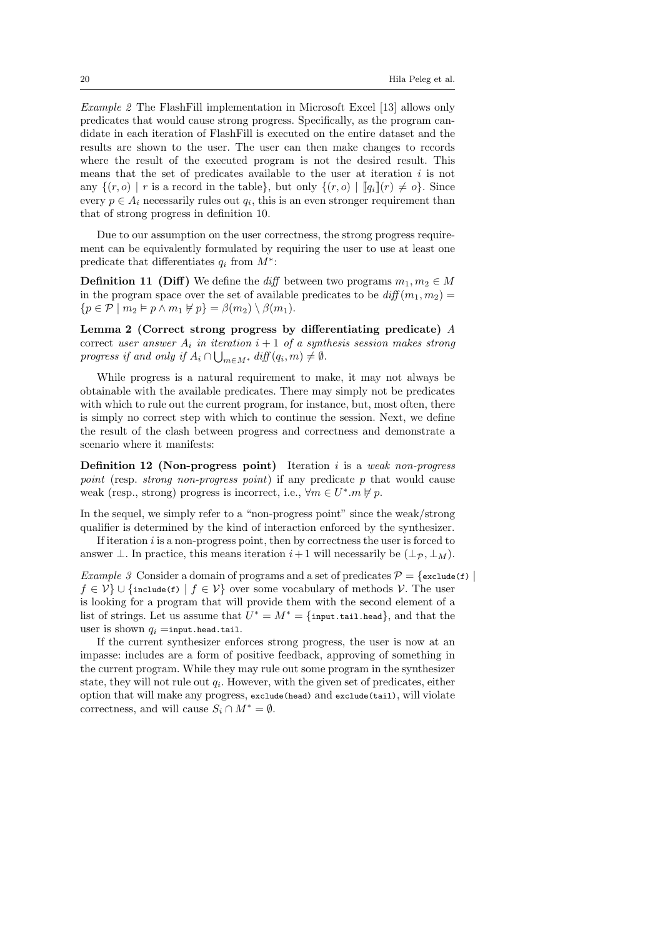Example 2 The FlashFill implementation in Microsoft Excel [13] allows only predicates that would cause strong progress. Specifically, as the program candidate in each iteration of FlashFill is executed on the entire dataset and the results are shown to the user. The user can then make changes to records where the result of the executed program is not the desired result. This means that the set of predicates available to the user at iteration  $i$  is not any  $\{(r, o) | r$  is a record in the table}, but only  $\{(r, o) | [q_i](r) \neq o\}$ . Since every  $p \in A_i$  necessarily rules out  $q_i$ , this is an even stronger requirement than that of strong progress in definition 10.

Due to our assumption on the user correctness, the strong progress requirement can be equivalently formulated by requiring the user to use at least one predicate that differentiates  $q_i$  from  $M^*$ :

**Definition 11 (Diff)** We define the diff between two programs  $m_1, m_2 \in M$ in the program space over the set of available predicates to be  $diff(m_1, m_2)$  =  $\{p \in \mathcal{P} \mid m_2 \models p \land m_1 \not\models p\} = \beta(m_2) \setminus \beta(m_1).$ 

Lemma 2 (Correct strong progress by differentiating predicate) A correct user answer  $A_i$  in iteration  $i+1$  of a synthesis session makes strong progress if and only if  $A_i \cap \bigcup_{m \in M^*} diff(q_i, m) \neq \emptyset$ .

While progress is a natural requirement to make, it may not always be obtainable with the available predicates. There may simply not be predicates with which to rule out the current program, for instance, but, most often, there is simply no correct step with which to continue the session. Next, we define the result of the clash between progress and correctness and demonstrate a scenario where it manifests:

**Definition 12 (Non-progress point)** Iteration i is a weak non-progress point (resp. strong non-progress point) if any predicate p that would cause weak (resp., strong) progress is incorrect, i.e.,  $\forall m \in U^* . m \not\vdash p$ .

In the sequel, we simply refer to a "non-progress point" since the weak/strong qualifier is determined by the kind of interaction enforced by the synthesizer.

If iteration  $i$  is a non-progress point, then by correctness the user is forced to answer  $\bot$ . In practice, this means iteration  $i+1$  will necessarily be  $(\bot_{\mathcal{P}}, \bot_{M})$ .

Example 3 Consider a domain of programs and a set of predicates  $\mathcal{P} = \{\texttt{exclude(f)} \mid \}$  $f \in \mathcal{V}$  ∪ {include(f) |  $f \in \mathcal{V}$ } over some vocabulary of methods  $\mathcal{V}$ . The user is looking for a program that will provide them with the second element of a list of strings. Let us assume that  $U^* = M^* = \{ \text{input}.\text{tail}.\text{head} \}$ , and that the user is shown  $q_i = \text{input head.tail.}$ 

If the current synthesizer enforces strong progress, the user is now at an impasse: includes are a form of positive feedback, approving of something in the current program. While they may rule out some program in the synthesizer state, they will not rule out  $q_i$ . However, with the given set of predicates, either option that will make any progress, exclude(head) and exclude(tail), will violate correctness, and will cause  $S_i \cap M^* = \emptyset$ .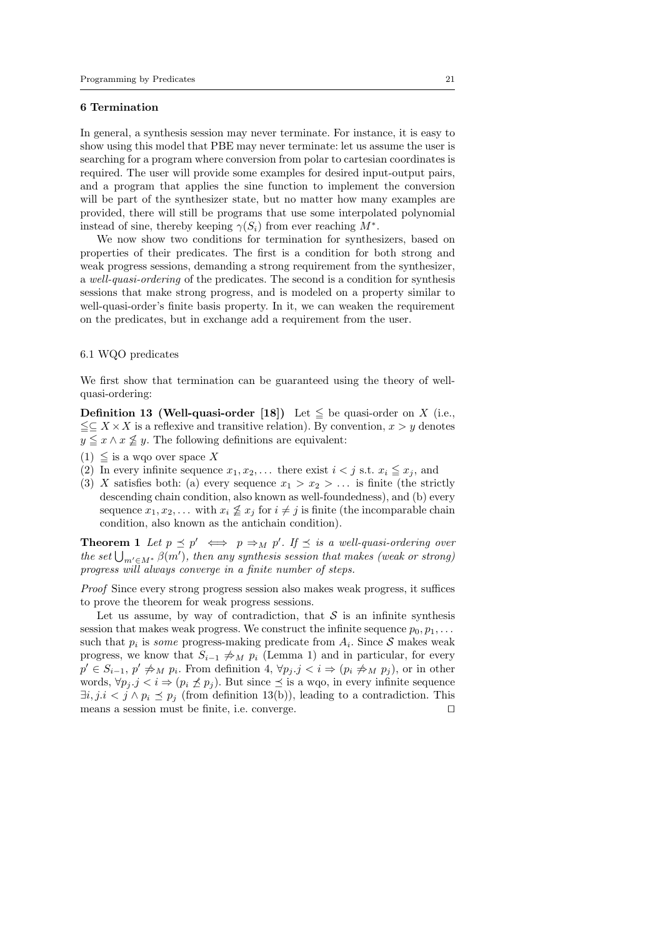#### 6 Termination

In general, a synthesis session may never terminate. For instance, it is easy to show using this model that PBE may never terminate: let us assume the user is searching for a program where conversion from polar to cartesian coordinates is required. The user will provide some examples for desired input-output pairs, and a program that applies the sine function to implement the conversion will be part of the synthesizer state, but no matter how many examples are provided, there will still be programs that use some interpolated polynomial instead of sine, thereby keeping  $\gamma(S_i)$  from ever reaching  $M^*$ .

We now show two conditions for termination for synthesizers, based on properties of their predicates. The first is a condition for both strong and weak progress sessions, demanding a strong requirement from the synthesizer, a well-quasi-ordering of the predicates. The second is a condition for synthesis sessions that make strong progress, and is modeled on a property similar to well-quasi-order's finite basis property. In it, we can weaken the requirement on the predicates, but in exchange add a requirement from the user.

# 6.1 WQO predicates

We first show that termination can be guaranteed using the theory of wellquasi-ordering:

**Definition 13 (Well-quasi-order [18])** Let  $\leq$  be quasi-order on X (i.e.,  $\leq \subseteq X \times X$  is a reflexive and transitive relation). By convention,  $x > y$  denotes  $y \leq x \wedge x \nleq y$ . The following definitions are equivalent:

- $(1) \leq$  is a wqo over space X
- (2) In every infinite sequence  $x_1, x_2, \ldots$  there exist  $i < j$  s.t.  $x_i \leq x_j$ , and
- (3) X satisfies both: (a) every sequence  $x_1 > x_2 > ...$  is finite (the strictly descending chain condition, also known as well-foundedness), and (b) every sequence  $x_1, x_2, \ldots$  with  $x_i \nleq x_j$  for  $i \neq j$  is finite (the incomparable chain condition, also known as the antichain condition).

**Theorem 1** Let  $p \preceq p' \iff p \Rightarrow_M p'$ . If  $\preceq$  is a well-quasi-ordering over the set  $\bigcup_{m'\in M^*}\beta(m')$ , then any synthesis session that makes (weak or strong) progress will always converge in a finite number of steps.

Proof Since every strong progress session also makes weak progress, it suffices to prove the theorem for weak progress sessions.

Let us assume, by way of contradiction, that  $\mathcal S$  is an infinite synthesis session that makes weak progress. We construct the infinite sequence  $p_0, p_1, \ldots$ such that  $p_i$  is *some* progress-making predicate from  $A_i$ . Since S makes weak progress, we know that  $S_{i-1} \npreceq_M p_i$  (Lemma 1) and in particular, for every  $p' \in S_{i-1}, p' \not\Rightarrow_M p_i$ . From definition 4,  $\forall p_j \cdot j \langle i \Rightarrow (p_i \not\Rightarrow_M p_j)$ , or in other words,  $\forall p_i \cdot j \leq i \Rightarrow (p_i \nleq p_j)$ . But since  $\preceq$  is a wqo, in every infinite sequence  $\exists i, j.i < j \land p_i \preceq p_j$  (from definition 13(b)), leading to a contradiction. This means a session must be finite, i.e. converge.  $\Box$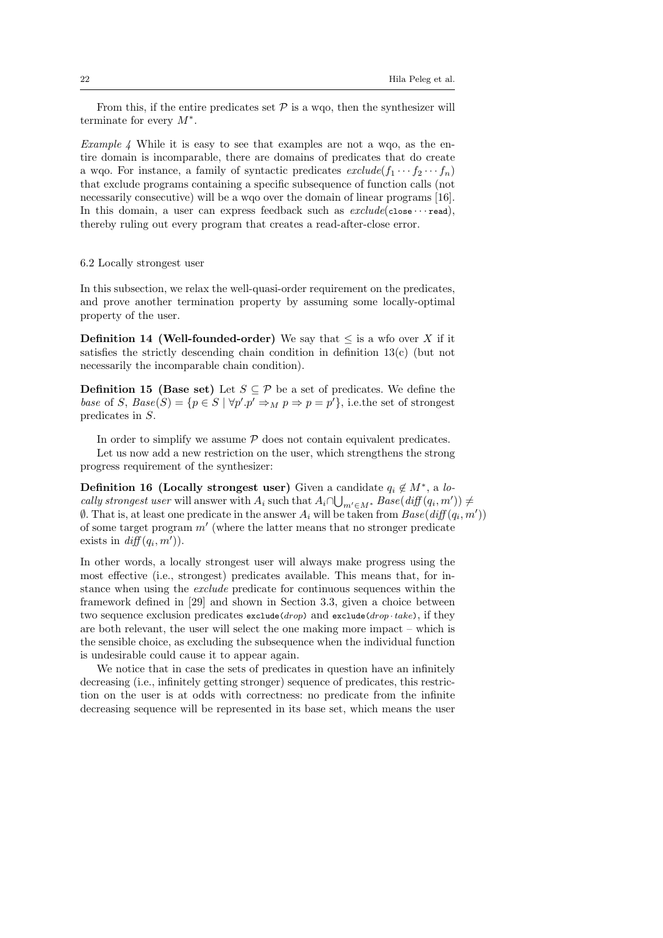From this, if the entire predicates set  $P$  is a wqo, then the synthesizer will terminate for every  $M^*$ .

Example 4 While it is easy to see that examples are not a wq o, as the entire domain is incomparable, there are domains of predicates that do create a wqo. For instance, a family of syntactic predicates  $\mathit{exclude}(f_1 \cdots f_2 \cdots f_n)$ that exclude programs containing a specific subsequence of function calls (not necessarily consecutive) will be a wqo over the domain of linear programs [16]. In this domain, a user can express feedback such as  $\mathit{exclude}( \texttt{close} \cdots \texttt{read}),$ thereby ruling out every program that creates a read-after-close error.

## 6.2 Locally strongest user

In this subsection, we relax the well-quasi-order requirement on the predicates, and prove another termination property by assuming some locally-optimal property of the user.

**Definition 14 (Well-founded-order)** We say that  $\leq$  is a wfo over X if it satisfies the strictly descending chain condition in definition 13(c) (but not necessarily the incomparable chain condition).

**Definition 15 (Base set)** Let  $S \subseteq \mathcal{P}$  be a set of predicates. We define the base of S,  $Base(S) = \{p \in S \mid \forall p'.p' \Rightarrow_M p \Rightarrow p = p'\}$ , i.e. the set of strongest predicates in S.

In order to simplify we assume  $P$  does not contain equivalent predicates. Let us now add a new restriction on the user, which strengthens the strong progress requirement of the synthesizer:

Definition 16 (Locally strongest user) Given a candidate  $q_i \notin M^*$ , a locally strongest user will answer with  $A_i$  such that  $A_i \cap \bigcup_{m' \in M^*} Base(df(q_i, m')) \neq$  $\emptyset$ . That is, at least one predicate in the answer  $A_i$  will be taken from  $Base(diff(q_i, m'))$ of some target program  $m'$  (where the latter means that no stronger predicate exists in  $diff(q_i, m'))$ .

In other words, a locally strongest user will always make progress using the most effective (i.e., strongest) predicates available. This means that, for instance when using the exclude predicate for continuous sequences within the framework defined in [29] and shown in Section 3.3, given a choice between two sequence exclusion predicates exclude(drop) and exclude(drop  $\cdot$ take), if they are both relevant, the user will select the one making more impact – which is the sensible choice, as excluding the subsequence when the individual function is undesirable could cause it to appear again.

We notice that in case the sets of predicates in question have an infinitely decreasing (i.e., infinitely getting stronger) sequence of predicates, this restriction on the user is at odds with correctness: no predicate from the infinite decreasing sequence will be represented in its base set, which means the user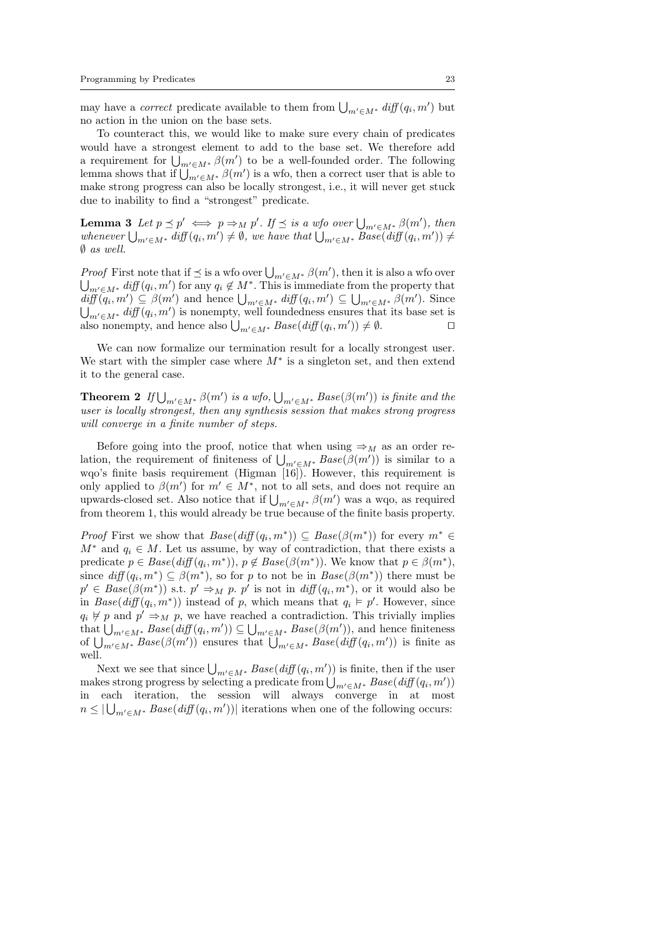may have a *correct* predicate available to them from  $\bigcup_{m' \in M^*} diff(q_i, m')$  but no action in the union on the base sets.

To counteract this, we would like to make sure every chain of predicates would have a strongest element to add to the base set. We therefore add a requirement for  $\bigcup_{m' \in M^*} \beta(m')$  to be a well-founded order. The following lemma shows that if  $\bigcup_{m'\in M^*} \beta(m')$  is a wfo, then a correct user that is able to make strong progress can also be locally strongest, i.e., it will never get stuck due to inability to find a "strongest" predicate.

**Lemma 3** Let  $p \preceq p' \iff p \Rightarrow_M p'$ . If  $\preceq$  is a wfo over  $\bigcup_{m' \in M^*} \beta(m')$ , then whenever  $\bigcup_{m'\in M^*} diff(q_i, m') \neq \emptyset$ , we have that  $\bigcup_{m'\in M^*} Base(df(q_i, m')) \neq \emptyset$ ∅ as well.

*Proof* First note that if  $\preceq$  is a wfo over  $\bigcup_{m' \in M^*} \beta(m')$ , then it is also a wfo over  $\bigcup_{m' \in M^*} diff(q_i, m')$  for any  $q_i \notin M^*$ . This is immediate from the property that  $diff(q_i, m') \subseteq \beta(m')$  and hence  $\bigcup_{m' \in M^*} diff(q_i, m') \subseteq \bigcup_{m' \in M^*} \beta(m')$ . Since  $\bigcup_{m' \in M^*} \text{diff}(q_i, m')$  is nonempty, well foundedness ensures that its base set is also nonempty, and hence also  $\bigcup_{m' \in M^*} Base(diff(q_i, m')) \neq \emptyset$ .

We can now formalize our termination result for a locally strongest user. We start with the simpler case where  $M^*$  is a singleton set, and then extend it to the general case.

**Theorem 2** If  $\bigcup_{m' \in M^*} \beta(m')$  is a wfo,  $\bigcup_{m' \in M^*} Base(\beta(m'))$  is finite and the user is locally strongest, then any synthesis session that makes strong progress will converge in a finite number of steps.

Before going into the proof, notice that when using  $\Rightarrow_M$  as an order relation, the requirement of finiteness of  $\bigcup_{m' \in M^*} Base(\beta(m'))$  is similar to a wqo's finite basis requirement (Higman [16]). However, this requirement is only applied to  $\beta(m')$  for  $m' \in M^*$ , not to all sets, and does not require an upwards-closed set. Also notice that if  $\bigcup_{m'\in M^*} \beta(m')$  was a wqo, as required from theorem 1, this would already be true because of the finite basis property.

*Proof* First we show that  $Base(diff(q_i, m^*)) \subseteq Base(\beta(m^*))$  for every  $m^* \in$  $M^*$  and  $q_i \in M$ . Let us assume, by way of contradiction, that there exists a predicate  $p \in Base(diff(q_i, m^*)), p \notin Base(\beta(m^*)).$  We know that  $p \in \beta(m^*),$ since  $diff(q_i, m^*) \subseteq \beta(m^*)$ , so for p to not be in  $Base(\beta(m^*))$  there must be  $p' \in Base(\beta(m^*))$  s.t.  $p' \Rightarrow_M p$ .  $p'$  is not in  $diff(q_i, m^*)$ , or it would also be in  $Base(diff(q_i, m^*))$  instead of p, which means that  $q_i \in p'$ . However, since  $q_i \not\vdash p$  and  $p' \Rightarrow_M p$ , we have reached a contradiction. This trivially implies that  $\bigcup_{m'\in M^*} Base(df(f(q_i,m')) \subseteq \bigcup_{m'\in M^*} Base(\beta(m'))$ , and hence finiteness of  $\bigcup_{m' \in M^*} Base(\beta(m'))$  ensures that  $\overline{\bigcup_{m' \in M^*} Base(di\mathfrak{f}(q_i,m'))$  is finite as well.

Next we see that since  $\bigcup_{m' \in M^*} Base(df(f(q_i, m'))$  is finite, then if the user makes strong progress by selecting a predicate from  $\bigcup_{m' \in M^*} Base(diff(q_i, m'))$ in each iteration, the session will always converge in at most  $n \leq |\bigcup_{m' \in M^*} Base(diff(q_i, m'))|$  iterations when one of the following occurs: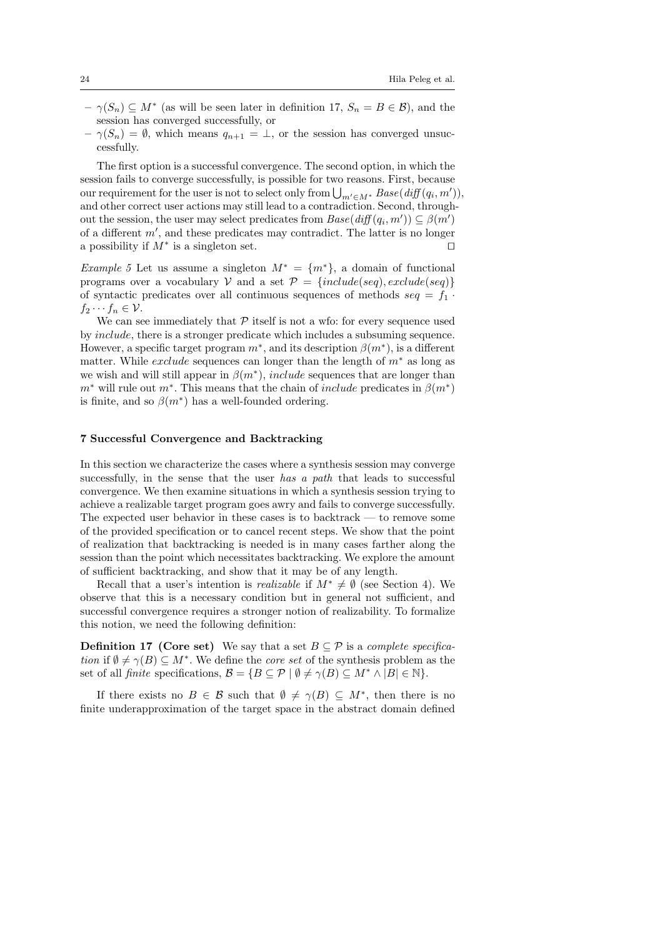- $\gamma(S_n) \subseteq M^*$  (as will be seen later in definition 17,  $S_n = B \in \mathcal{B}$ ), and the session has converged successfully, or
- $-\gamma(S_n) = \emptyset$ , which means  $q_{n+1} = \bot$ , or the session has converged unsuccessfully.

The first option is a successful convergence. The second option, in which the session fails to converge successfully, is possible for two reasons. First, because our requirement for the user is not to select only from  $\bigcup_{m'\in M^*} Base(diff(q_i, m')),$ and other correct user actions may still lead to a contradiction. Second, throughout the session, the user may select predicates from  $Base(diff(q_i, m')) \subseteq \beta(m')$ of a different  $m'$ , and these predicates may contradict. The latter is no longer a possibility if  $M^*$  is a singleton set.

Example 5 Let us assume a singleton  $M^* = \{m^*\}$ , a domain of functional programs over a vocabulary V and a set  $P = \{include(seq), exclude(seq)\}\$ of syntactic predicates over all continuous sequences of methods  $seq = f_1$ .  $f_2 \cdots f_n \in \mathcal{V}$ .

We can see immediately that  $P$  itself is not a wfo: for every sequence used by include, there is a stronger predicate which includes a subsuming sequence. However, a specific target program  $m^*$ , and its description  $\beta(m^*)$ , is a different matter. While *exclude* sequences can longer than the length of  $m^*$  as long as we wish and will still appear in  $\beta(m^*)$ , *include* sequences that are longer than  $m^*$  will rule out  $m^*$ . This means that the chain of *include* predicates in  $\beta(m^*)$ is finite, and so  $\beta(m^*)$  has a well-founded ordering.

# 7 Successful Convergence and Backtracking

In this section we characterize the cases where a synthesis session may converge successfully, in the sense that the user has a path that leads to successful convergence. We then examine situations in which a synthesis session trying to achieve a realizable target program goes awry and fails to converge successfully. The expected user behavior in these cases is to backtrack — to remove some of the provided specification or to cancel recent steps. We show that the point of realization that backtracking is needed is in many cases farther along the session than the point which necessitates backtracking. We explore the amount of sufficient backtracking, and show that it may be of any length.

Recall that a user's intention is *realizable* if  $M^* \neq \emptyset$  (see Section 4). We observe that this is a necessary condition but in general not sufficient, and successful convergence requires a stronger notion of realizability. To formalize this notion, we need the following definition:

**Definition 17 (Core set)** We say that a set  $B \subseteq \mathcal{P}$  is a *complete specifica*tion if  $\emptyset \neq \gamma(B) \subseteq M^*$ . We define the core set of the synthesis problem as the set of all *finite* specifications,  $\mathcal{B} = \{B \subseteq \mathcal{P} \mid \emptyset \neq \gamma(B) \subseteq M^* \land |B| \in \mathbb{N}\}.$ 

If there exists no  $B \in \mathcal{B}$  such that  $\emptyset \neq \gamma(B) \subseteq M^*$ , then there is no finite underapproximation of the target space in the abstract domain defined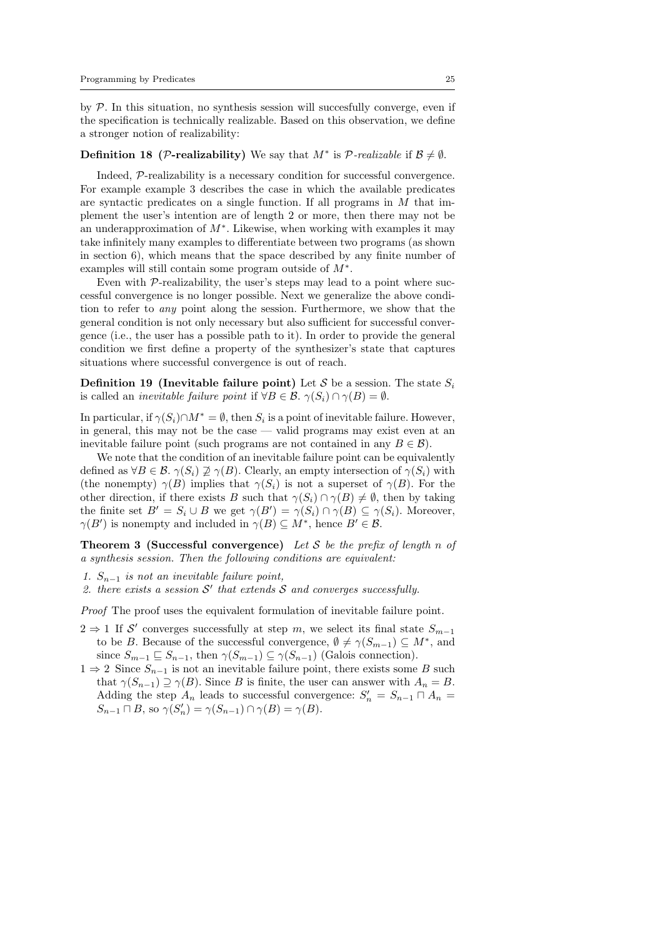by P. In this situation, no synthesis session will succesfully converge, even if the specification is technically realizable. Based on this observation, we define a stronger notion of realizability:

# **Definition 18** (P-realizability) We say that  $M^*$  is P-realizable if  $\mathcal{B} \neq \emptyset$ .

Indeed, P-realizability is a necessary condition for successful convergence. For example example 3 describes the case in which the available predicates are syntactic predicates on a single function. If all programs in  $M$  that implement the user's intention are of length 2 or more, then there may not be an underapproximation of  $M^*$ . Likewise, when working with examples it may take infinitely many examples to differentiate between two programs (as shown in section 6), which means that the space described by any finite number of examples will still contain some program outside of  $M^*$ .

Even with  $P$ -realizability, the user's steps may lead to a point where successful convergence is no longer possible. Next we generalize the above condition to refer to any point along the session. Furthermore, we show that the general condition is not only necessary but also sufficient for successful convergence (i.e., the user has a possible path to it). In order to provide the general condition we first define a property of the synthesizer's state that captures situations where successful convergence is out of reach.

**Definition 19 (Inevitable failure point)** Let S be a session. The state  $S_i$ is called an *inevitable failure point* if  $\forall B \in \mathcal{B}$ .  $\gamma(S_i) \cap \gamma(B) = \emptyset$ .

In particular, if  $\gamma(S_i) \cap M^* = \emptyset$ , then  $S_i$  is a point of inevitable failure. However, in general, this may not be the case — valid programs may exist even at an inevitable failure point (such programs are not contained in any  $B \in \mathcal{B}$ ).

We note that the condition of an inevitable failure point can be equivalently defined as  $\forall B \in \mathcal{B}$ .  $\gamma(S_i) \not\supseteq \gamma(B)$ . Clearly, an empty intersection of  $\gamma(S_i)$  with (the nonempty)  $\gamma(B)$  implies that  $\gamma(S_i)$  is not a superset of  $\gamma(B)$ . For the other direction, if there exists B such that  $\gamma(S_i) \cap \gamma(B) \neq \emptyset$ , then by taking the finite set  $B' = S_i \cup B$  we get  $\gamma(B') = \gamma(S_i) \cap \gamma(B) \subseteq \gamma(S_i)$ . Moreover,  $\gamma(B')$  is nonempty and included in  $\gamma(B) \subseteq M^*$ , hence  $B' \in \mathcal{B}$ .

**Theorem 3 (Successful convergence)** Let S be the prefix of length n of a synthesis session. Then the following conditions are equivalent:

- 1.  $S_{n-1}$  is not an inevitable failure point,
- 2. there exists a session  $S'$  that extends  $S$  and converges successfully.

Proof The proof uses the equivalent formulation of inevitable failure point.

- 2 ⇒ 1 If S' converges successfully at step m, we select its final state  $S_{m-1}$ to be B. Because of the successful convergence,  $\emptyset \neq \gamma(S_{m-1}) \subseteq M^*$ , and since  $S_{m-1} \subseteq S_{n-1}$ , then  $\gamma(S_{m-1}) \subseteq \gamma(S_{n-1})$  (Galois connection).
- $1 \Rightarrow 2$  Since  $S_{n-1}$  is not an inevitable failure point, there exists some B such that  $\gamma(S_{n-1}) \supseteq \gamma(B)$ . Since B is finite, the user can answer with  $A_n = B$ . Adding the step  $A_n$  leads to successful convergence:  $S'_n = S_{n-1} \sqcap A_n =$  $S_{n-1} \sqcap B$ , so  $\gamma(S'_n) = \gamma(S_{n-1}) \cap \gamma(B) = \gamma(B)$ .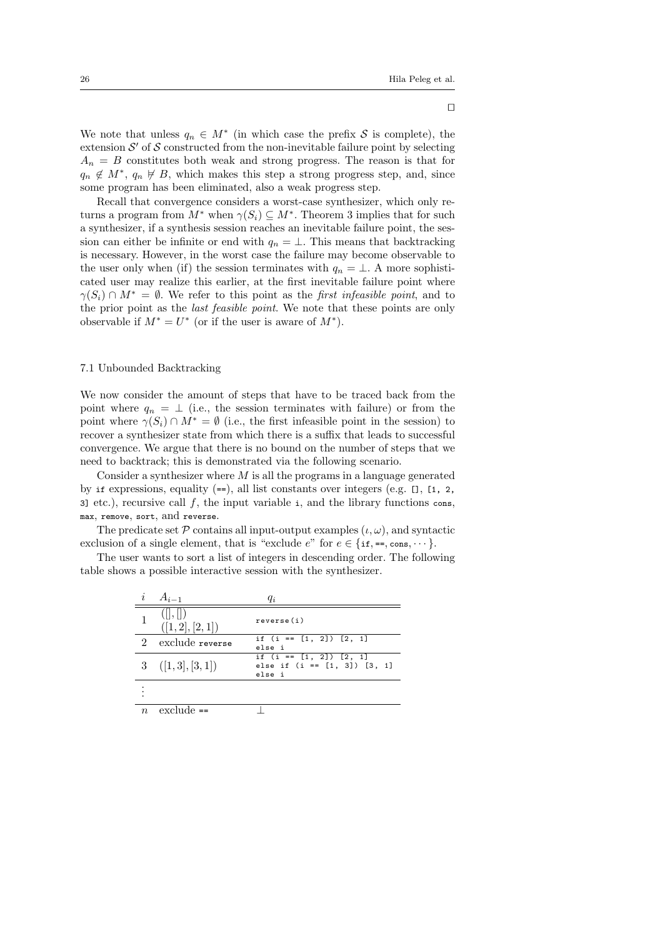$\Box$ 

We note that unless  $q_n \in M^*$  (in which case the prefix S is complete), the extension  $\mathcal{S}'$  of  $\mathcal S$  constructed from the non-inevitable failure point by selecting  $A_n = B$  constitutes both weak and strong progress. The reason is that for  $q_n \notin M^*$ ,  $q_n \notin B$ , which makes this step a strong progress step, and, since some program has been eliminated, also a weak progress step.

Recall that convergence considers a worst-case synthesizer, which only returns a program from  $M^*$  when  $\gamma(S_i) \subseteq M^*$ . Theorem 3 implies that for such a synthesizer, if a synthesis session reaches an inevitable failure point, the session can either be infinite or end with  $q_n = \perp$ . This means that backtracking is necessary. However, in the worst case the failure may become observable to the user only when (if) the session terminates with  $q_n = \perp$ . A more sophisticated user may realize this earlier, at the first inevitable failure point where  $\gamma(S_i) \cap M^* = \emptyset$ . We refer to this point as the *first infeasible point*, and to the prior point as the last feasible point. We note that these points are only observable if  $M^* = U^*$  (or if the user is aware of  $M^*$ ).

#### 7.1 Unbounded Backtracking

We now consider the amount of steps that have to be traced back from the point where  $q_n = \perp$  (i.e., the session terminates with failure) or from the point where  $\gamma(S_i) \cap M^* = \emptyset$  (i.e., the first infeasible point in the session) to recover a synthesizer state from which there is a suffix that leads to successful convergence. We argue that there is no bound on the number of steps that we need to backtrack; this is demonstrated via the following scenario.

Consider a synthesizer where  $M$  is all the programs in a language generated by if expressions, equality  $(==)$ , all list constants over integers  $(e.g. 0, 1, 1, 2, ...)$ 3] etc.), recursive call  $f$ , the input variable i, and the library functions cons, max, remove, sort, and reverse.

The predicate set  $P$  contains all input-output examples  $(\iota, \omega)$ , and syntactic exclusion of a single element, that is "exclude  $e$ " for  $e \in \{if, ==, \text{cons}, \cdots\}$ .

The user wants to sort a list of integers in descending order. The following table shows a possible interactive session with the synthesizer.

| i                | $A_{i-1}$         | $q_i$                                                                 |
|------------------|-------------------|-----------------------------------------------------------------------|
|                  | ([1, 2], [2, 1])  | reverse(i)                                                            |
|                  | 2 exclude reverse | if $(i == [1, 2]) [2, 1]$<br>else i                                   |
|                  | 3([1,3],[3,1])    | if $(i == [1, 2]) [2, 1]$<br>else if $(i == [1, 3]) [3, 1]$<br>else i |
|                  |                   |                                                                       |
| $\boldsymbol{n}$ | exclude           |                                                                       |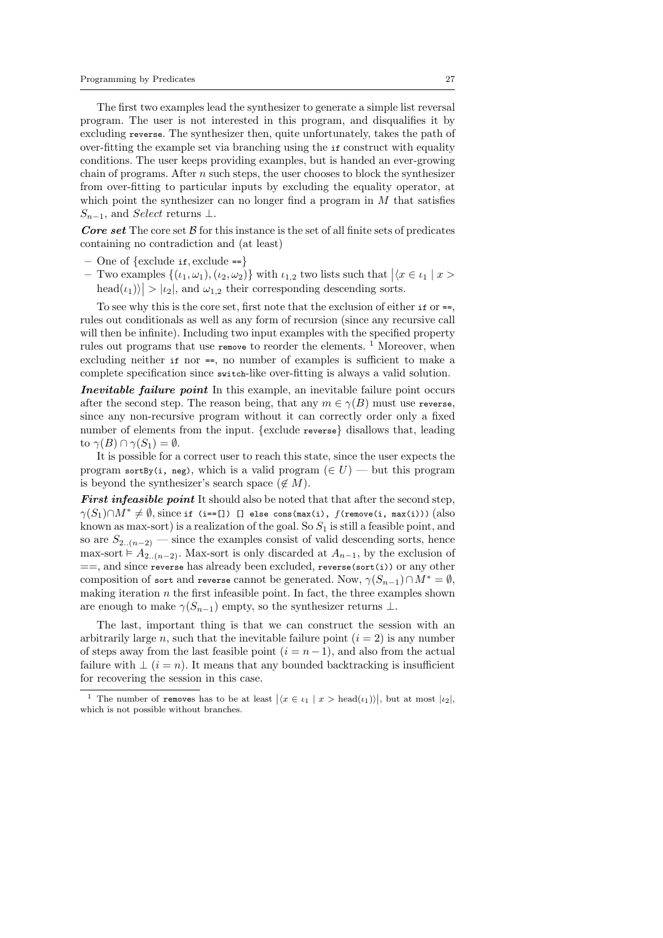The first two examples lead the synthesizer to generate a simple list reversal program. The user is not interested in this program, and disqualifies it by excluding reverse. The synthesizer then, quite unfortunately, takes the path of over-fitting the example set via branching using the if construct with equality conditions. The user keeps providing examples, but is handed an ever-growing chain of programs. After  $n$  such steps, the user chooses to block the synthesizer from over-fitting to particular inputs by excluding the equality operator, at which point the synthesizer can no longer find a program in  $M$  that satisfies  $S_{n-1}$ , and *Select* returns  $\perp$ .

**Core set** The core set  $\beta$  for this instance is the set of all finite sets of predicates containing no contradiction and (at least)

- One of  $\{$  exclude  $\{$  == $\}$
- Two examples  $\{(i_1,\omega_1), (i_2,\omega_2)\}\$  with  $i_{1,2}$  two lists such that  $\vert\langle x \in i_1 \vert x\rangle$ head( $\iota_1$ ))| >  $|\iota_2|$ , and  $\omega_{1,2}$  their corresponding descending sorts.

To see why this is the core set, first note that the exclusion of either if or ==, rules out conditionals as well as any form of recursion (since any recursive call will then be infinite). Including two input examples with the specified property rules out programs that use remove to reorder the elements.<sup>1</sup> Moreover, when excluding neither if nor ==, no number of examples is sufficient to make a complete specification since switch-like over-fitting is always a valid solution.

Inevitable failure point In this example, an inevitable failure point occurs after the second step. The reason being, that any  $m \in \gamma(B)$  must use reverse, since any non-recursive program without it can correctly order only a fixed number of elements from the input. {exclude reverse} disallows that, leading to  $\gamma(B) \cap \gamma(S_1) = \emptyset$ .

It is possible for a correct user to reach this state, since the user expects the program sortBy(i, neg), which is a valid program ( $\in U$ ) — but this program is beyond the synthesizer's search space ( $\notin M$ ).

**First infeasible point** It should also be noted that that after the second step,  $\gamma(S_1) \cap M^* \neq \emptyset$ , since if (i==[]) [] else cons(max(i), f(remove(i, max(i))) (also known as max-sort) is a realization of the goal. So  $S_1$  is still a feasible point, and so are  $S_{2..(n-2)}$  — since the examples consist of valid descending sorts, hence max-sort  $\models A_{2..(n-2)}$ . Max-sort is only discarded at  $A_{n-1}$ , by the exclusion of ==, and since reverse has already been excluded, reverse(sort(i)) or any other composition of sort and reverse cannot be generated. Now,  $\gamma(S_{n-1}) \cap M^* = \emptyset$ , making iteration  $n$  the first infeasible point. In fact, the three examples shown are enough to make  $\gamma(S_{n-1})$  empty, so the synthesizer returns  $\perp$ .

The last, important thing is that we can construct the session with an arbitrarily large n, such that the inevitable failure point  $(i = 2)$  is any number of steps away from the last feasible point  $(i = n - 1)$ , and also from the actual failure with  $\perp$   $(i = n)$ . It means that any bounded backtracking is insufficient for recovering the session in this case.

<sup>&</sup>lt;sup>1</sup> The number of **removes** has to be at least  $|\langle x \in \iota_1 | x > \text{head}(\iota_1) \rangle|$ , but at most  $|\iota_2|$ , which is not possible without branches.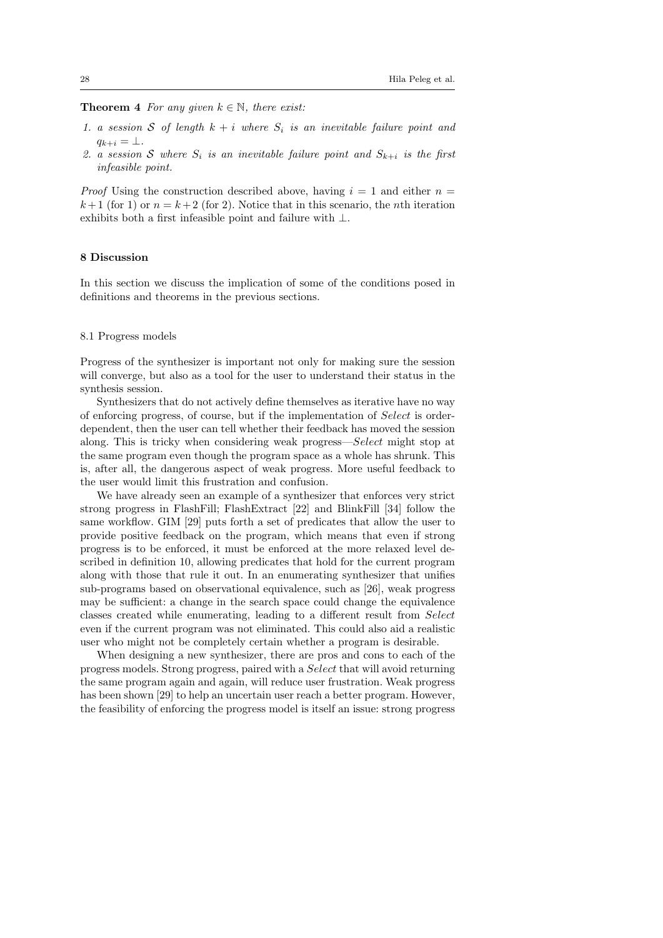**Theorem 4** For any given  $k \in \mathbb{N}$ , there exist:

- 1. a session S of length  $k + i$  where  $S_i$  is an inevitable failure point and  $q_{k+i} = \perp$ .
- 2. a session S where  $S_i$  is an inevitable failure point and  $S_{k+i}$  is the first infeasible point.

*Proof* Using the construction described above, having  $i = 1$  and either  $n =$  $k+1$  (for 1) or  $n = k+2$  (for 2). Notice that in this scenario, the *n*th iteration exhibits both a first infeasible point and failure with  $\bot$ .

# 8 Discussion

In this section we discuss the implication of some of the conditions posed in definitions and theorems in the previous sections.

#### 8.1 Progress models

Progress of the synthesizer is important not only for making sure the session will converge, but also as a tool for the user to understand their status in the synthesis session.

Synthesizers that do not actively define themselves as iterative have no way of enforcing progress, of course, but if the implementation of Select is orderdependent, then the user can tell whether their feedback has moved the session along. This is tricky when considering weak progress—Select might stop at the same program even though the program space as a whole has shrunk. This is, after all, the dangerous aspect of weak progress. More useful feedback to the user would limit this frustration and confusion.

We have already seen an example of a synthesizer that enforces very strict strong progress in FlashFill; FlashExtract [22] and BlinkFill [34] follow the same workflow. GIM [29] puts forth a set of predicates that allow the user to provide positive feedback on the program, which means that even if strong progress is to be enforced, it must be enforced at the more relaxed level described in definition 10, allowing predicates that hold for the current program along with those that rule it out. In an enumerating synthesizer that unifies sub-programs based on observational equivalence, such as [26], weak progress may be sufficient: a change in the search space could change the equivalence classes created while enumerating, leading to a different result from Select even if the current program was not eliminated. This could also aid a realistic user who might not be completely certain whether a program is desirable.

When designing a new synthesizer, there are pros and cons to each of the progress models. Strong progress, paired with a Select that will avoid returning the same program again and again, will reduce user frustration. Weak progress has been shown [29] to help an uncertain user reach a better program. However, the feasibility of enforcing the progress model is itself an issue: strong progress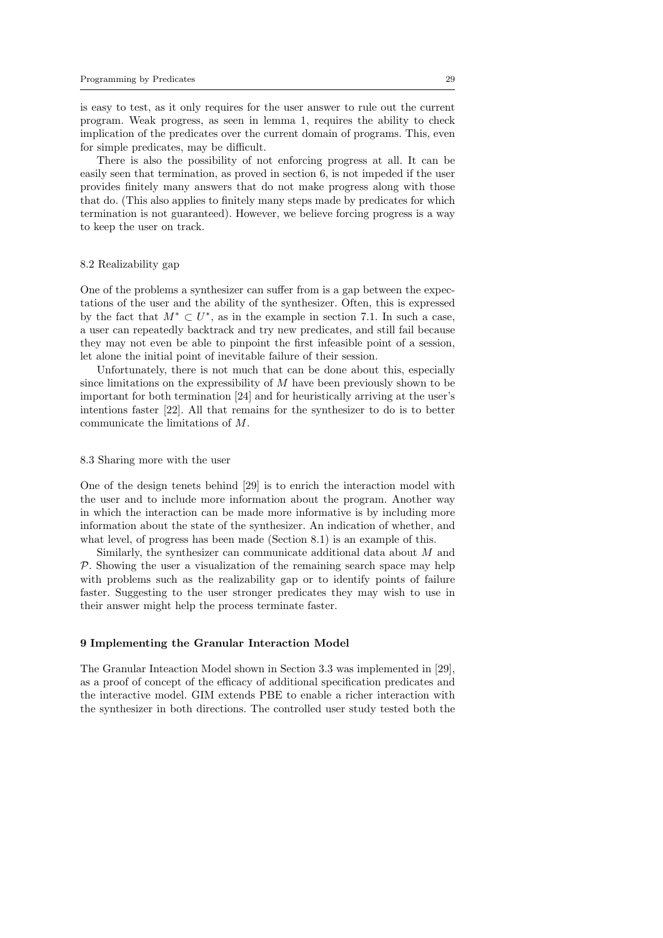is easy to test, as it only requires for the user answer to rule out the current program. Weak progress, as seen in lemma 1, requires the ability to check implication of the predicates over the current domain of programs. This, even for simple predicates, may be difficult.

There is also the possibility of not enforcing progress at all. It can be easily seen that termination, as proved in section 6, is not impeded if the user provides finitely many answers that do not make progress along with those that do. (This also applies to finitely many steps made by predicates for which termination is not guaranteed). However, we believe forcing progress is a way to keep the user on track.

#### 8.2 Realizability gap

One of the problems a synthesizer can suffer from is a gap between the expectations of the user and the ability of the synthesizer. Often, this is expressed by the fact that  $M^* \subset U^*$ , as in the example in section 7.1. In such a case, a user can repeatedly backtrack and try new predicates, and still fail because they may not even be able to pinpoint the first infeasible point of a session, let alone the initial point of inevitable failure of their session.

Unfortunately, there is not much that can be done about this, especially since limitations on the expressibility of  $M$  have been previously shown to be important for both termination [24] and for heuristically arriving at the user's intentions faster [22]. All that remains for the synthesizer to do is to better communicate the limitations of M.

# 8.3 Sharing more with the user

One of the design tenets behind [29] is to enrich the interaction model with the user and to include more information about the program. Another way in which the interaction can be made more informative is by including more information about the state of the synthesizer. An indication of whether, and what level, of progress has been made (Section 8.1) is an example of this.

Similarly, the synthesizer can communicate additional data about M and P. Showing the user a visualization of the remaining search space may help with problems such as the realizability gap or to identify points of failure faster. Suggesting to the user stronger predicates they may wish to use in their answer might help the process terminate faster.

## 9 Implementing the Granular Interaction Model

The Granular Inteaction Model shown in Section 3.3 was implemented in [29], as a proof of concept of the efficacy of additional specification predicates and the interactive model. GIM extends PBE to enable a richer interaction with the synthesizer in both directions. The controlled user study tested both the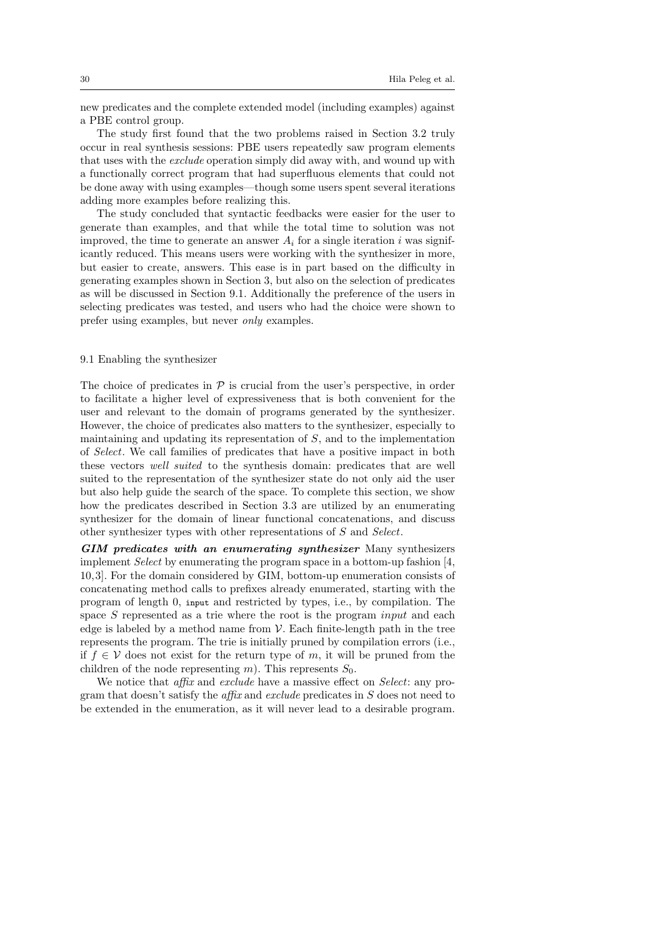new predicates and the complete extended model (including examples) against a PBE control group.

The study first found that the two problems raised in Section 3.2 truly occur in real synthesis sessions: PBE users repeatedly saw program elements that uses with the exclude operation simply did away with, and wound up with a functionally correct program that had superfluous elements that could not be done away with using examples—though some users spent several iterations adding more examples before realizing this.

The study concluded that syntactic feedbacks were easier for the user to generate than examples, and that while the total time to solution was not improved, the time to generate an answer  $A_i$  for a single iteration i was significantly reduced. This means users were working with the synthesizer in more, but easier to create, answers. This ease is in part based on the difficulty in generating examples shown in Section 3, but also on the selection of predicates as will be discussed in Section 9.1. Additionally the preference of the users in selecting predicates was tested, and users who had the choice were shown to prefer using examples, but never only examples.

# 9.1 Enabling the synthesizer

The choice of predicates in  $P$  is crucial from the user's perspective, in order to facilitate a higher level of expressiveness that is both convenient for the user and relevant to the domain of programs generated by the synthesizer. However, the choice of predicates also matters to the synthesizer, especially to maintaining and updating its representation of S, and to the implementation of Select. We call families of predicates that have a positive impact in both these vectors well suited to the synthesis domain: predicates that are well suited to the representation of the synthesizer state do not only aid the user but also help guide the search of the space. To complete this section, we show how the predicates described in Section 3.3 are utilized by an enumerating synthesizer for the domain of linear functional concatenations, and discuss other synthesizer types with other representations of S and Select.

GIM predicates with an enumerating synthesizer Many synthesizers implement Select by enumerating the program space in a bottom-up fashion [4, 10, 3]. For the domain considered by GIM, bottom-up enumeration consists of concatenating method calls to prefixes already enumerated, starting with the program of length 0, input and restricted by types, i.e., by compilation. The space  $S$  represented as a trie where the root is the program *input* and each edge is labeled by a method name from  $\mathcal V$ . Each finite-length path in the tree represents the program. The trie is initially pruned by compilation errors (i.e., if  $f \in V$  does not exist for the return type of m, it will be pruned from the children of the node representing m). This represents  $S_0$ .

We notice that *affix* and *exclude* have a massive effect on *Select*: any program that doesn't satisfy the affix and exclude predicates in S does not need to be extended in the enumeration, as it will never lead to a desirable program.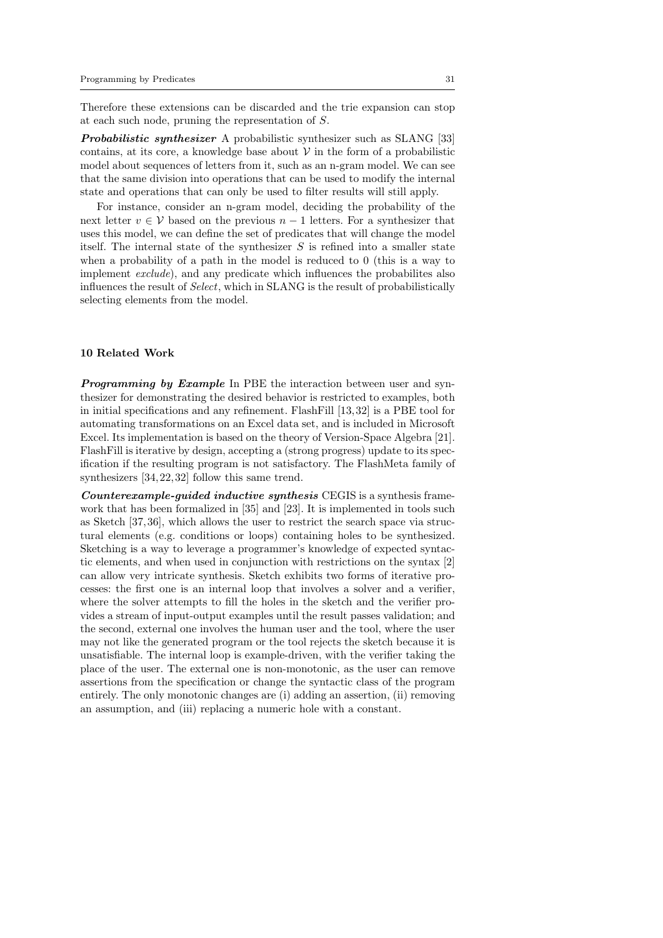Therefore these extensions can be discarded and the trie expansion can stop at each such node, pruning the representation of S.

Probabilistic synthesizer A probabilistic synthesizer such as SLANG [33] contains, at its core, a knowledge base about  $\mathcal V$  in the form of a probabilistic model about sequences of letters from it, such as an n-gram model. We can see that the same division into operations that can be used to modify the internal state and operations that can only be used to filter results will still apply.

For instance, consider an n-gram model, deciding the probability of the next letter  $v \in V$  based on the previous  $n-1$  letters. For a synthesizer that uses this model, we can define the set of predicates that will change the model itself. The internal state of the synthesizer  $S$  is refined into a smaller state when a probability of a path in the model is reduced to 0 (this is a way to implement exclude), and any predicate which influences the probabilites also influences the result of Select, which in SLANG is the result of probabilistically selecting elements from the model.

# 10 Related Work

**Programming by Example** In PBE the interaction between user and synthesizer for demonstrating the desired behavior is restricted to examples, both in initial specifications and any refinement. FlashFill [13, 32] is a PBE tool for automating transformations on an Excel data set, and is included in Microsoft Excel. Its implementation is based on the theory of Version-Space Algebra [21]. FlashFill is iterative by design, accepting a (strong progress) update to its specification if the resulting program is not satisfactory. The FlashMeta family of synthesizers [34, 22, 32] follow this same trend.

Counterexample-guided inductive synthesis CEGIS is a synthesis framework that has been formalized in [35] and [23]. It is implemented in tools such as Sketch [37, 36], which allows the user to restrict the search space via structural elements (e.g. conditions or loops) containing holes to be synthesized. Sketching is a way to leverage a programmer's knowledge of expected syntactic elements, and when used in conjunction with restrictions on the syntax [2] can allow very intricate synthesis. Sketch exhibits two forms of iterative processes: the first one is an internal loop that involves a solver and a verifier, where the solver attempts to fill the holes in the sketch and the verifier provides a stream of input-output examples until the result passes validation; and the second, external one involves the human user and the tool, where the user may not like the generated program or the tool rejects the sketch because it is unsatisfiable. The internal loop is example-driven, with the verifier taking the place of the user. The external one is non-monotonic, as the user can remove assertions from the specification or change the syntactic class of the program entirely. The only monotonic changes are (i) adding an assertion, (ii) removing an assumption, and (iii) replacing a numeric hole with a constant.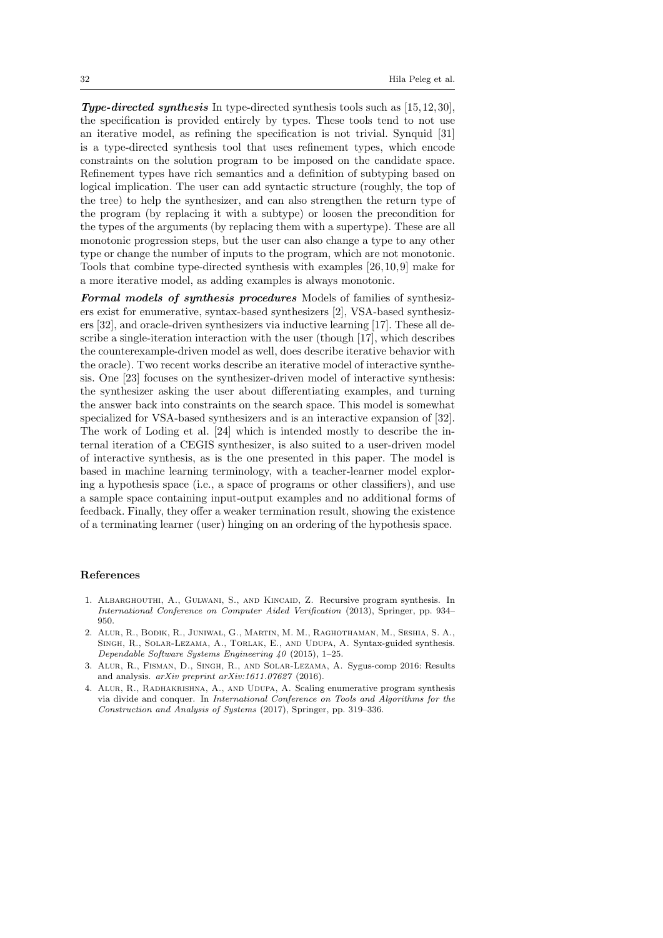Type-directed synthesis In type-directed synthesis tools such as [15, 12, 30], the specification is provided entirely by types. These tools tend to not use an iterative model, as refining the specification is not trivial. Synquid [31] is a type-directed synthesis tool that uses refinement types, which encode constraints on the solution program to be imposed on the candidate space. Refinement types have rich semantics and a definition of subtyping based on logical implication. The user can add syntactic structure (roughly, the top of the tree) to help the synthesizer, and can also strengthen the return type of the program (by replacing it with a subtype) or loosen the precondition for the types of the arguments (by replacing them with a supertype). These are all monotonic progression steps, but the user can also change a type to any other type or change the number of inputs to the program, which are not monotonic. Tools that combine type-directed synthesis with examples [26, 10, 9] make for a more iterative model, as adding examples is always monotonic.

Formal models of synthesis procedures Models of families of synthesizers exist for enumerative, syntax-based synthesizers [2], VSA-based synthesizers [32], and oracle-driven synthesizers via inductive learning [17]. These all describe a single-iteration interaction with the user (though [17], which describes the counterexample-driven model as well, does describe iterative behavior with the oracle). Two recent works describe an iterative model of interactive synthesis. One [23] focuses on the synthesizer-driven model of interactive synthesis: the synthesizer asking the user about differentiating examples, and turning the answer back into constraints on the search space. This model is somewhat specialized for VSA-based synthesizers and is an interactive expansion of [32]. The work of Loding et al. [24] which is intended mostly to describe the internal iteration of a CEGIS synthesizer, is also suited to a user-driven model of interactive synthesis, as is the one presented in this paper. The model is based in machine learning terminology, with a teacher-learner model exploring a hypothesis space (i.e., a space of programs or other classifiers), and use a sample space containing input-output examples and no additional forms of feedback. Finally, they offer a weaker termination result, showing the existence of a terminating learner (user) hinging on an ordering of the hypothesis space.

#### References

- 1. Albarghouthi, A., Gulwani, S., and Kincaid, Z. Recursive program synthesis. In International Conference on Computer Aided Verification (2013), Springer, pp. 934– 950.
- 2. Alur, R., Bodik, R., Juniwal, G., Martin, M. M., Raghothaman, M., Seshia, S. A., SINGH, R., SOLAR-LEZAMA, A., TORLAK, E., AND UDUPA, A. Syntax-guided synthesis. Dependable Software Systems Engineering 40 (2015), 1–25.
- 3. Alur, R., Fisman, D., Singh, R., and Solar-Lezama, A. Sygus-comp 2016: Results and analysis. arXiv preprint arXiv:1611.07627 (2016).
- 4. Alur, R., Radhakrishna, A., and Udupa, A. Scaling enumerative program synthesis via divide and conquer. In International Conference on Tools and Algorithms for the Construction and Analysis of Systems (2017), Springer, pp. 319–336.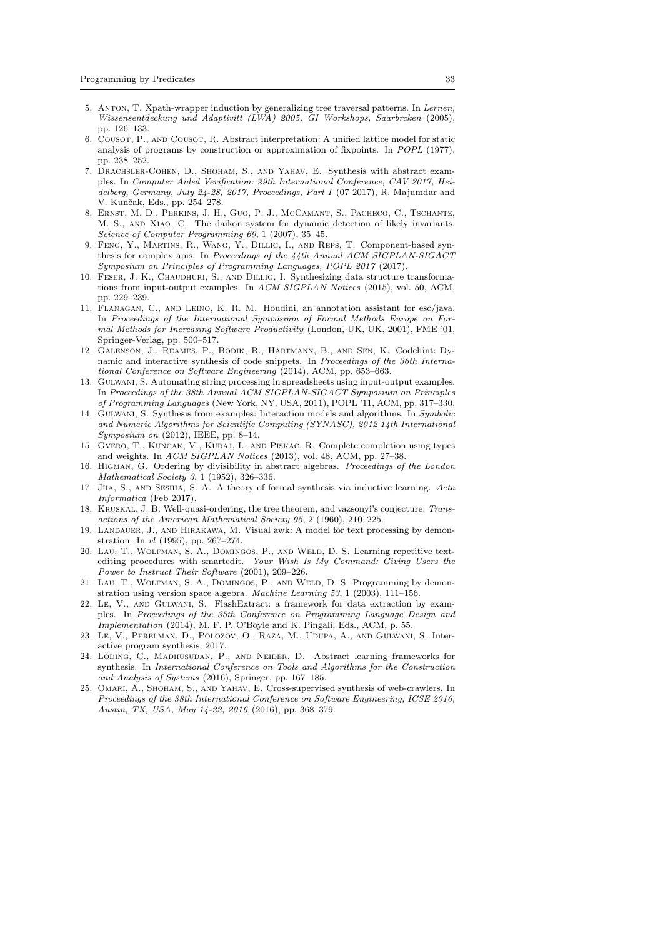- 5. Anton, T. Xpath-wrapper induction by generalizing tree traversal patterns. In Lernen, Wissensentdeckung und Adaptivitt (LWA) 2005, GI Workshops, Saarbrcken (2005), pp. 126–133.
- 6. Cousot, P., and Cousot, R. Abstract interpretation: A unified lattice model for static analysis of programs by construction or approximation of fixpoints. In POPL (1977), pp. 238–252.
- 7. Drachsler-Cohen, D., Shoham, S., and Yahav, E. Synthesis with abstract examples. In Computer Aided Verification: 29th International Conference, CAV 2017, Heidelberg, Germany, July 24-28, 2017, Proceedings, Part I (07 2017), R. Majumdar and V. Kunˇcak, Eds., pp. 254–278.
- 8. Ernst, M. D., Perkins, J. H., Guo, P. J., McCamant, S., Pacheco, C., Tschantz, M. S., and Xiao, C. The daikon system for dynamic detection of likely invariants. Science of Computer Programming 69, 1 (2007), 35–45.
- 9. Feng, Y., Martins, R., Wang, Y., Dillig, I., and Reps, T. Component-based synthesis for complex apis. In Proceedings of the 44th Annual ACM SIGPLAN-SIGACT Symposium on Principles of Programming Languages, POPL 2017 (2017).
- 10. Feser, J. K., Chaudhuri, S., and Dillig, I. Synthesizing data structure transformations from input-output examples. In ACM SIGPLAN Notices (2015), vol. 50, ACM, pp. 229–239.
- 11. Flanagan, C., and Leino, K. R. M. Houdini, an annotation assistant for esc/java. In Proceedings of the International Symposium of Formal Methods Europe on Formal Methods for Increasing Software Productivity (London, UK, UK, 2001), FME '01, Springer-Verlag, pp. 500–517.
- 12. Galenson, J., Reames, P., Bodik, R., Hartmann, B., and Sen, K. Codehint: Dynamic and interactive synthesis of code snippets. In Proceedings of the 36th International Conference on Software Engineering (2014), ACM, pp. 653–663.
- 13. Gulwani, S. Automating string processing in spreadsheets using input-output examples. In Proceedings of the 38th Annual ACM SIGPLAN-SIGACT Symposium on Principles of Programming Languages (New York, NY, USA, 2011), POPL '11, ACM, pp. 317–330.
- 14. GULWANI, S. Synthesis from examples: Interaction models and algorithms. In Symbolic and Numeric Algorithms for Scientific Computing (SYNASC), 2012 14th International Symposium on (2012), IEEE, pp. 8–14.
- 15. Gvero, T., Kuncak, V., Kuraj, I., and Piskac, R. Complete completion using types and weights. In ACM SIGPLAN Notices (2013), vol. 48, ACM, pp. 27–38.
- 16. HIGMAN, G. Ordering by divisibility in abstract algebras. Proceedings of the London Mathematical Society 3, 1 (1952), 326–336.
- 17. Jha, S., and Seshia, S. A. A theory of formal synthesis via inductive learning. Acta Informatica (Feb 2017).
- 18. Kruskal, J. B. Well-quasi-ordering, the tree theorem, and vazsonyi's conjecture. Transactions of the American Mathematical Society 95, 2 (1960), 210–225.
- 19. Landauer, J., and Hirakawa, M. Visual awk: A model for text processing by demonstration. In vl (1995), pp. 267–274.
- 20. Lau, T., Wolfman, S. A., Domingos, P., and Weld, D. S. Learning repetitive textediting procedures with smartedit. Your Wish Is My Command: Giving Users the Power to Instruct Their Software (2001), 209–226.
- 21. Lau, T., Wolfman, S. A., Domingos, P., and Weld, D. S. Programming by demonstration using version space algebra. Machine Learning 53, 1 (2003), 111–156.
- 22. Le, V., and Gulwani, S. FlashExtract: a framework for data extraction by examples. In Proceedings of the 35th Conference on Programming Language Design and Implementation (2014), M. F. P. O'Boyle and K. Pingali, Eds., ACM, p. 55.
- 23. Le, V., Perelman, D., Polozov, O., Raza, M., Udupa, A., and Gulwani, S. Interactive program synthesis, 2017.
- 24. LÖDING, C., MADHUSUDAN, P., AND NEIDER, D. Abstract learning frameworks for synthesis. In International Conference on Tools and Algorithms for the Construction and Analysis of Systems (2016), Springer, pp. 167–185.
- 25. Omari, A., Shoham, S., and Yahav, E. Cross-supervised synthesis of web-crawlers. In Proceedings of the 38th International Conference on Software Engineering, ICSE 2016, Austin, TX, USA, May 14-22, 2016 (2016), pp. 368–379.